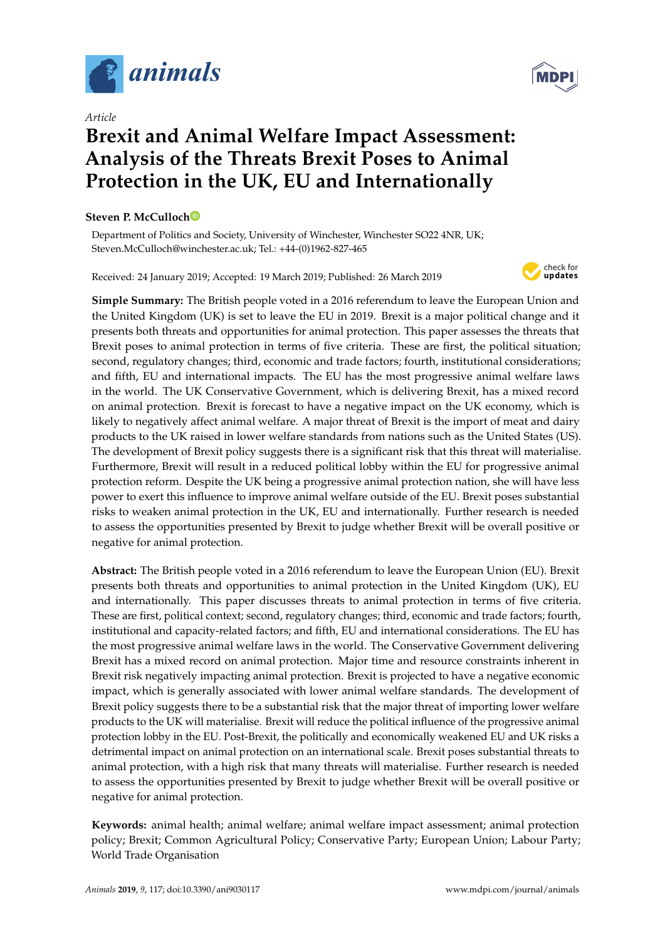

*Article*

# **Brexit and Animal Welfare Impact Assessment: Analysis of the Threats Brexit Poses to Animal Protection in the UK, EU and Internationally**

# **Steven P. McCulloc[h](https://orcid.org/0000-0003-2161-1911)**

Department of Politics and Society, University of Winchester, Winchester SO22 4NR, UK; Steven.McCulloch@winchester.ac.uk; Tel.: +44-(0)1962-827-465

Received: 24 January 2019; Accepted: 19 March 2019; Published: 26 March 2019



**Simple Summary:** The British people voted in a 2016 referendum to leave the European Union and the United Kingdom (UK) is set to leave the EU in 2019. Brexit is a major political change and it presents both threats and opportunities for animal protection. This paper assesses the threats that Brexit poses to animal protection in terms of five criteria. These are first, the political situation; second, regulatory changes; third, economic and trade factors; fourth, institutional considerations; and fifth, EU and international impacts. The EU has the most progressive animal welfare laws in the world. The UK Conservative Government, which is delivering Brexit, has a mixed record on animal protection. Brexit is forecast to have a negative impact on the UK economy, which is likely to negatively affect animal welfare. A major threat of Brexit is the import of meat and dairy products to the UK raised in lower welfare standards from nations such as the United States (US). The development of Brexit policy suggests there is a significant risk that this threat will materialise. Furthermore, Brexit will result in a reduced political lobby within the EU for progressive animal protection reform. Despite the UK being a progressive animal protection nation, she will have less power to exert this influence to improve animal welfare outside of the EU. Brexit poses substantial risks to weaken animal protection in the UK, EU and internationally. Further research is needed to assess the opportunities presented by Brexit to judge whether Brexit will be overall positive or negative for animal protection.

**Abstract:** The British people voted in a 2016 referendum to leave the European Union (EU). Brexit presents both threats and opportunities to animal protection in the United Kingdom (UK), EU and internationally. This paper discusses threats to animal protection in terms of five criteria. These are first, political context; second, regulatory changes; third, economic and trade factors; fourth, institutional and capacity-related factors; and fifth, EU and international considerations. The EU has the most progressive animal welfare laws in the world. The Conservative Government delivering Brexit has a mixed record on animal protection. Major time and resource constraints inherent in Brexit risk negatively impacting animal protection. Brexit is projected to have a negative economic impact, which is generally associated with lower animal welfare standards. The development of Brexit policy suggests there to be a substantial risk that the major threat of importing lower welfare products to the UK will materialise. Brexit will reduce the political influence of the progressive animal protection lobby in the EU. Post-Brexit, the politically and economically weakened EU and UK risks a detrimental impact on animal protection on an international scale. Brexit poses substantial threats to animal protection, with a high risk that many threats will materialise. Further research is needed to assess the opportunities presented by Brexit to judge whether Brexit will be overall positive or negative for animal protection.

**Keywords:** animal health; animal welfare; animal welfare impact assessment; animal protection policy; Brexit; Common Agricultural Policy; Conservative Party; European Union; Labour Party; World Trade Organisation

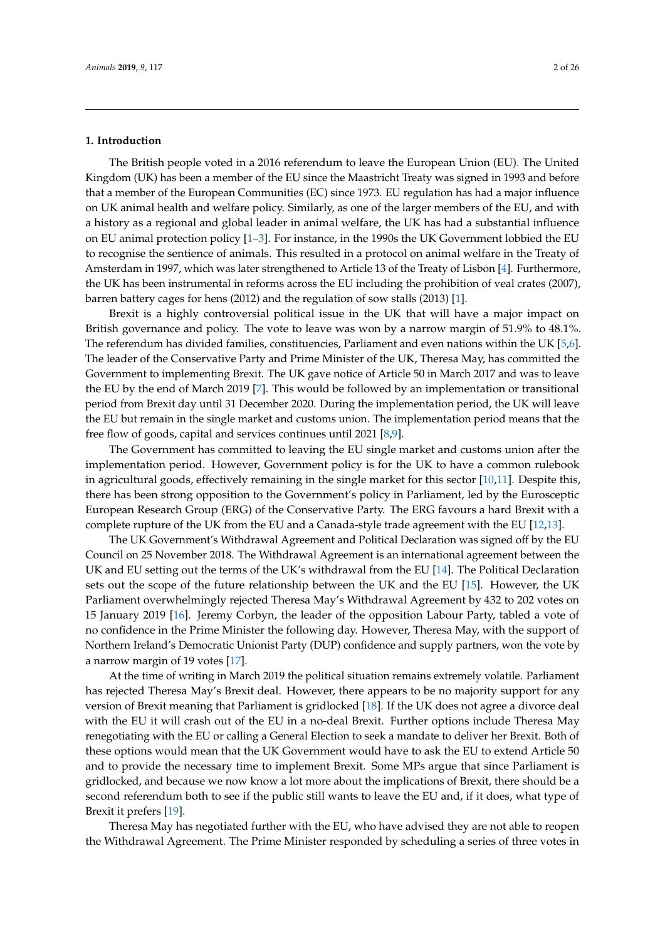## **1. Introduction**

The British people voted in a 2016 referendum to leave the European Union (EU). The United Kingdom (UK) has been a member of the EU since the Maastricht Treaty was signed in 1993 and before that a member of the European Communities (EC) since 1973. EU regulation has had a major influence on UK animal health and welfare policy. Similarly, as one of the larger members of the EU, and with a history as a regional and global leader in animal welfare, the UK has had a substantial influence on EU animal protection policy [\[1](#page-20-0)[–3\]](#page-20-1). For instance, in the 1990s the UK Government lobbied the EU to recognise the sentience of animals. This resulted in a protocol on animal welfare in the Treaty of Amsterdam in 1997, which was later strengthened to Article 13 of the Treaty of Lisbon [\[4\]](#page-20-2). Furthermore, the UK has been instrumental in reforms across the EU including the prohibition of veal crates (2007), barren battery cages for hens (2012) and the regulation of sow stalls (2013) [\[1\]](#page-20-0).

Brexit is a highly controversial political issue in the UK that will have a major impact on British governance and policy. The vote to leave was won by a narrow margin of 51.9% to 48.1%. The referendum has divided families, constituencies, Parliament and even nations within the UK [\[5](#page-20-3)[,6\]](#page-20-4). The leader of the Conservative Party and Prime Minister of the UK, Theresa May, has committed the Government to implementing Brexit. The UK gave notice of Article 50 in March 2017 and was to leave the EU by the end of March 2019 [\[7\]](#page-20-5). This would be followed by an implementation or transitional period from Brexit day until 31 December 2020. During the implementation period, the UK will leave the EU but remain in the single market and customs union. The implementation period means that the free flow of goods, capital and services continues until 2021 [\[8,](#page-20-6)[9\]](#page-20-7).

The Government has committed to leaving the EU single market and customs union after the implementation period. However, Government policy is for the UK to have a common rulebook in agricultural goods, effectively remaining in the single market for this sector [\[10](#page-20-8)[,11\]](#page-20-9). Despite this, there has been strong opposition to the Government's policy in Parliament, led by the Eurosceptic European Research Group (ERG) of the Conservative Party. The ERG favours a hard Brexit with a complete rupture of the UK from the EU and a Canada-style trade agreement with the EU [\[12](#page-20-10)[,13\]](#page-20-11).

The UK Government's Withdrawal Agreement and Political Declaration was signed off by the EU Council on 25 November 2018. The Withdrawal Agreement is an international agreement between the UK and EU setting out the terms of the UK's withdrawal from the EU [\[14\]](#page-20-12). The Political Declaration sets out the scope of the future relationship between the UK and the EU [\[15\]](#page-20-13). However, the UK Parliament overwhelmingly rejected Theresa May's Withdrawal Agreement by 432 to 202 votes on 15 January 2019 [\[16\]](#page-20-14). Jeremy Corbyn, the leader of the opposition Labour Party, tabled a vote of no confidence in the Prime Minister the following day. However, Theresa May, with the support of Northern Ireland's Democratic Unionist Party (DUP) confidence and supply partners, won the vote by a narrow margin of 19 votes [\[17\]](#page-20-15).

At the time of writing in March 2019 the political situation remains extremely volatile. Parliament has rejected Theresa May's Brexit deal. However, there appears to be no majority support for any version of Brexit meaning that Parliament is gridlocked [\[18\]](#page-20-16). If the UK does not agree a divorce deal with the EU it will crash out of the EU in a no-deal Brexit. Further options include Theresa May renegotiating with the EU or calling a General Election to seek a mandate to deliver her Brexit. Both of these options would mean that the UK Government would have to ask the EU to extend Article 50 and to provide the necessary time to implement Brexit. Some MPs argue that since Parliament is gridlocked, and because we now know a lot more about the implications of Brexit, there should be a second referendum both to see if the public still wants to leave the EU and, if it does, what type of Brexit it prefers [\[19\]](#page-20-17).

Theresa May has negotiated further with the EU, who have advised they are not able to reopen the Withdrawal Agreement. The Prime Minister responded by scheduling a series of three votes in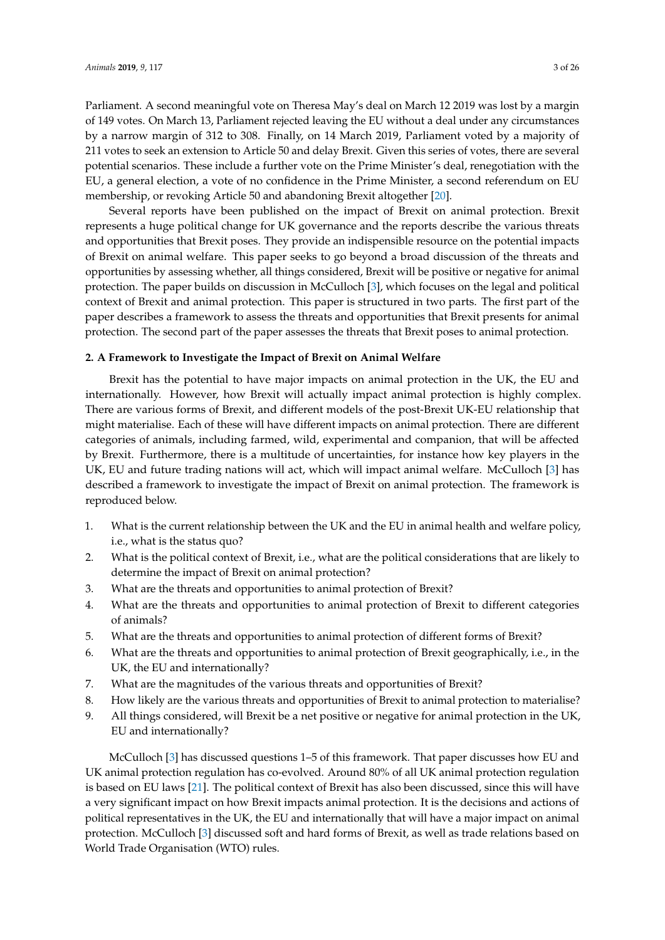Parliament. A second meaningful vote on Theresa May's deal on March 12 2019 was lost by a margin of 149 votes. On March 13, Parliament rejected leaving the EU without a deal under any circumstances by a narrow margin of 312 to 308. Finally, on 14 March 2019, Parliament voted by a majority of 211 votes to seek an extension to Article 50 and delay Brexit. Given this series of votes, there are several potential scenarios. These include a further vote on the Prime Minister's deal, renegotiation with the EU, a general election, a vote of no confidence in the Prime Minister, a second referendum on EU membership, or revoking Article 50 and abandoning Brexit altogether [\[20\]](#page-21-0).

Several reports have been published on the impact of Brexit on animal protection. Brexit represents a huge political change for UK governance and the reports describe the various threats and opportunities that Brexit poses. They provide an indispensible resource on the potential impacts of Brexit on animal welfare. This paper seeks to go beyond a broad discussion of the threats and opportunities by assessing whether, all things considered, Brexit will be positive or negative for animal protection. The paper builds on discussion in McCulloch [\[3\]](#page-20-1), which focuses on the legal and political context of Brexit and animal protection. This paper is structured in two parts. The first part of the paper describes a framework to assess the threats and opportunities that Brexit presents for animal protection. The second part of the paper assesses the threats that Brexit poses to animal protection.

### **2. A Framework to Investigate the Impact of Brexit on Animal Welfare**

Brexit has the potential to have major impacts on animal protection in the UK, the EU and internationally. However, how Brexit will actually impact animal protection is highly complex. There are various forms of Brexit, and different models of the post-Brexit UK-EU relationship that might materialise. Each of these will have different impacts on animal protection. There are different categories of animals, including farmed, wild, experimental and companion, that will be affected by Brexit. Furthermore, there is a multitude of uncertainties, for instance how key players in the UK, EU and future trading nations will act, which will impact animal welfare. McCulloch [\[3\]](#page-20-1) has described a framework to investigate the impact of Brexit on animal protection. The framework is reproduced below.

- 1. What is the current relationship between the UK and the EU in animal health and welfare policy, i.e., what is the status quo?
- 2. What is the political context of Brexit, i.e., what are the political considerations that are likely to determine the impact of Brexit on animal protection?
- 3. What are the threats and opportunities to animal protection of Brexit?
- 4. What are the threats and opportunities to animal protection of Brexit to different categories of animals?
- 5. What are the threats and opportunities to animal protection of different forms of Brexit?
- 6. What are the threats and opportunities to animal protection of Brexit geographically, i.e., in the UK, the EU and internationally?
- 7. What are the magnitudes of the various threats and opportunities of Brexit?
- 8. How likely are the various threats and opportunities of Brexit to animal protection to materialise?
- 9. All things considered, will Brexit be a net positive or negative for animal protection in the UK, EU and internationally?

McCulloch [\[3\]](#page-20-1) has discussed questions 1–5 of this framework. That paper discusses how EU and UK animal protection regulation has co-evolved. Around 80% of all UK animal protection regulation is based on EU laws [\[21\]](#page-21-1). The political context of Brexit has also been discussed, since this will have a very significant impact on how Brexit impacts animal protection. It is the decisions and actions of political representatives in the UK, the EU and internationally that will have a major impact on animal protection. McCulloch [\[3\]](#page-20-1) discussed soft and hard forms of Brexit, as well as trade relations based on World Trade Organisation (WTO) rules.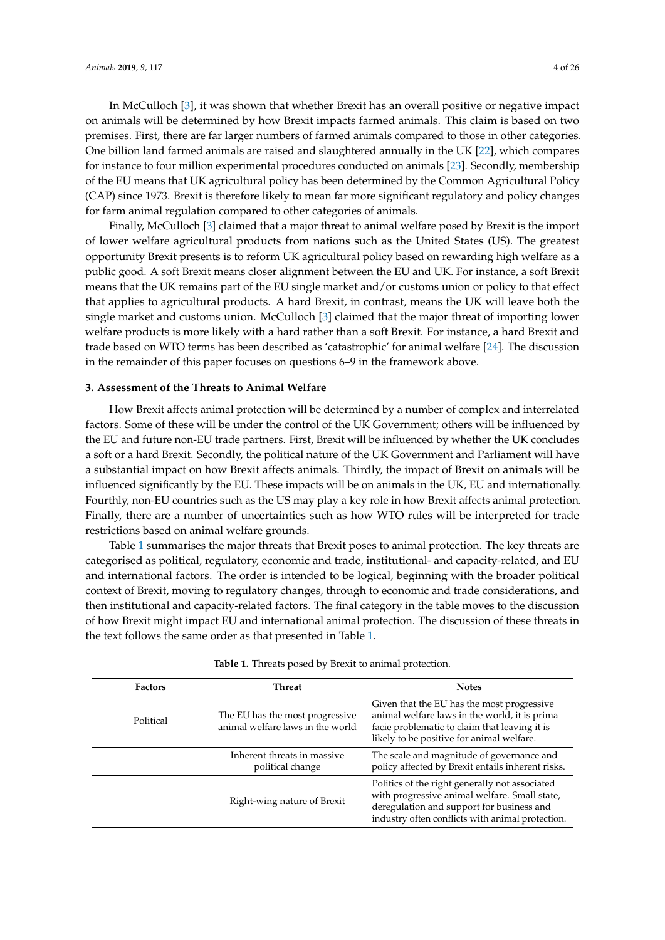In McCulloch [\[3\]](#page-20-1), it was shown that whether Brexit has an overall positive or negative impact on animals will be determined by how Brexit impacts farmed animals. This claim is based on two premises. First, there are far larger numbers of farmed animals compared to those in other categories. One billion land farmed animals are raised and slaughtered annually in the UK [\[22\]](#page-21-2), which compares for instance to four million experimental procedures conducted on animals [\[23\]](#page-21-3). Secondly, membership of the EU means that UK agricultural policy has been determined by the Common Agricultural Policy (CAP) since 1973. Brexit is therefore likely to mean far more significant regulatory and policy changes

for farm animal regulation compared to other categories of animals.

Finally, McCulloch [\[3\]](#page-20-1) claimed that a major threat to animal welfare posed by Brexit is the import of lower welfare agricultural products from nations such as the United States (US). The greatest opportunity Brexit presents is to reform UK agricultural policy based on rewarding high welfare as a public good. A soft Brexit means closer alignment between the EU and UK. For instance, a soft Brexit means that the UK remains part of the EU single market and/or customs union or policy to that effect that applies to agricultural products. A hard Brexit, in contrast, means the UK will leave both the single market and customs union. McCulloch [\[3\]](#page-20-1) claimed that the major threat of importing lower welfare products is more likely with a hard rather than a soft Brexit. For instance, a hard Brexit and trade based on WTO terms has been described as 'catastrophic' for animal welfare [\[24\]](#page-21-4). The discussion in the remainder of this paper focuses on questions 6–9 in the framework above.

#### **3. Assessment of the Threats to Animal Welfare**

How Brexit affects animal protection will be determined by a number of complex and interrelated factors. Some of these will be under the control of the UK Government; others will be influenced by the EU and future non-EU trade partners. First, Brexit will be influenced by whether the UK concludes a soft or a hard Brexit. Secondly, the political nature of the UK Government and Parliament will have a substantial impact on how Brexit affects animals. Thirdly, the impact of Brexit on animals will be influenced significantly by the EU. These impacts will be on animals in the UK, EU and internationally. Fourthly, non-EU countries such as the US may play a key role in how Brexit affects animal protection. Finally, there are a number of uncertainties such as how WTO rules will be interpreted for trade restrictions based on animal welfare grounds.

Table [1](#page-5-0) summarises the major threats that Brexit poses to animal protection. The key threats are categorised as political, regulatory, economic and trade, institutional- and capacity-related, and EU and international factors. The order is intended to be logical, beginning with the broader political context of Brexit, moving to regulatory changes, through to economic and trade considerations, and then institutional and capacity-related factors. The final category in the table moves to the discussion of how Brexit might impact EU and international animal protection. The discussion of these threats in the text follows the same order as that presented in Table [1.](#page-5-0)

| <b>Factors</b> | <b>Threat</b>                                                       | <b>Notes</b>                                                                                                                                                                                     |
|----------------|---------------------------------------------------------------------|--------------------------------------------------------------------------------------------------------------------------------------------------------------------------------------------------|
| Political      | The EU has the most progressive<br>animal welfare laws in the world | Given that the EU has the most progressive<br>animal welfare laws in the world, it is prima<br>facie problematic to claim that leaving it is<br>likely to be positive for animal welfare.        |
|                | Inherent threats in massive<br>political change                     | The scale and magnitude of governance and<br>policy affected by Brexit entails inherent risks.                                                                                                   |
|                | Right-wing nature of Brexit                                         | Politics of the right generally not associated<br>with progressive animal welfare. Small state,<br>deregulation and support for business and<br>industry often conflicts with animal protection. |

| <b>Table 1.</b> Threats posed by Brexit to animal protection. |  |  |  |  |  |
|---------------------------------------------------------------|--|--|--|--|--|
|---------------------------------------------------------------|--|--|--|--|--|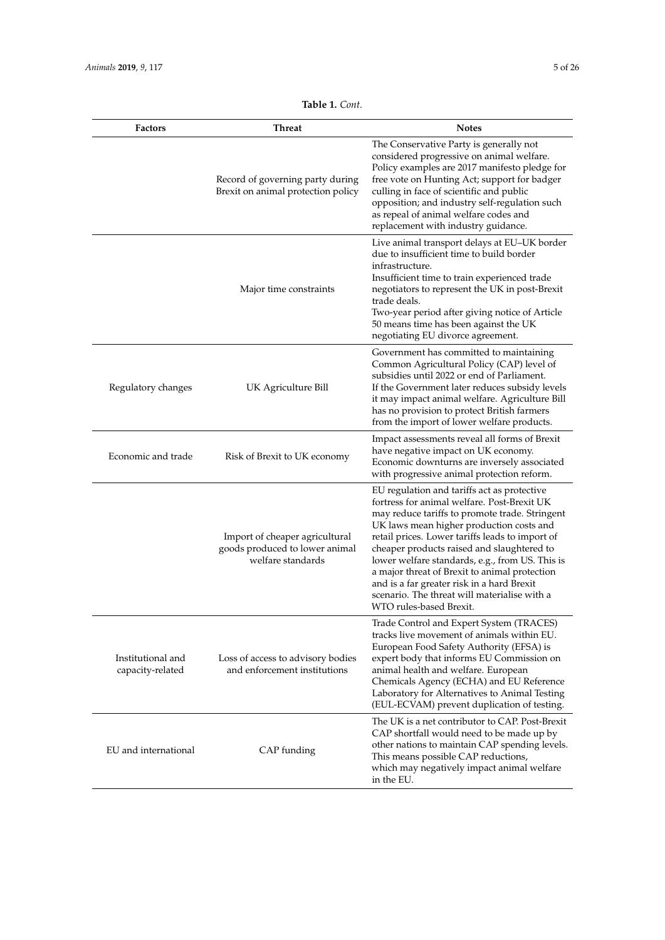| <b>Factors</b>                        | Threat                                                                                | <b>Notes</b>                                                                                                                                                                                                                                                                                                                                                                                                                                                                                                           |
|---------------------------------------|---------------------------------------------------------------------------------------|------------------------------------------------------------------------------------------------------------------------------------------------------------------------------------------------------------------------------------------------------------------------------------------------------------------------------------------------------------------------------------------------------------------------------------------------------------------------------------------------------------------------|
|                                       | Record of governing party during<br>Brexit on animal protection policy                | The Conservative Party is generally not<br>considered progressive on animal welfare.<br>Policy examples are 2017 manifesto pledge for<br>free vote on Hunting Act; support for badger<br>culling in face of scientific and public<br>opposition; and industry self-regulation such<br>as repeal of animal welfare codes and<br>replacement with industry guidance.                                                                                                                                                     |
|                                       | Major time constraints                                                                | Live animal transport delays at EU-UK border<br>due to insufficient time to build border<br>infrastructure.<br>Insufficient time to train experienced trade<br>negotiators to represent the UK in post-Brexit<br>trade deals.<br>Two-year period after giving notice of Article<br>50 means time has been against the UK<br>negotiating EU divorce agreement.                                                                                                                                                          |
| Regulatory changes                    | UK Agriculture Bill                                                                   | Government has committed to maintaining<br>Common Agricultural Policy (CAP) level of<br>subsidies until 2022 or end of Parliament.<br>If the Government later reduces subsidy levels<br>it may impact animal welfare. Agriculture Bill<br>has no provision to protect British farmers<br>from the import of lower welfare products.                                                                                                                                                                                    |
| Economic and trade                    | Risk of Brexit to UK economy                                                          | Impact assessments reveal all forms of Brexit<br>have negative impact on UK economy.<br>Economic downturns are inversely associated<br>with progressive animal protection reform.                                                                                                                                                                                                                                                                                                                                      |
|                                       | Import of cheaper agricultural<br>goods produced to lower animal<br>welfare standards | EU regulation and tariffs act as protective<br>fortress for animal welfare. Post-Brexit UK<br>may reduce tariffs to promote trade. Stringent<br>UK laws mean higher production costs and<br>retail prices. Lower tariffs leads to import of<br>cheaper products raised and slaughtered to<br>lower welfare standards, e.g., from US. This is<br>a major threat of Brexit to animal protection<br>and is a far greater risk in a hard Brexit<br>scenario. The threat will materialise with a<br>WTO rules-based Brexit. |
| Institutional and<br>capacity-related | Loss of access to advisory bodies<br>and enforcement institutions                     | Trade Control and Expert System (TRACES)<br>tracks live movement of animals within EU.<br>European Food Safety Authority (EFSA) is<br>expert body that informs EU Commission on<br>animal health and welfare. European<br>Chemicals Agency (ECHA) and EU Reference<br>Laboratory for Alternatives to Animal Testing<br>(EUL-ECVAM) prevent duplication of testing.                                                                                                                                                     |
| EU and international                  | CAP funding                                                                           | The UK is a net contributor to CAP. Post-Brexit<br>CAP shortfall would need to be made up by<br>other nations to maintain CAP spending levels.<br>This means possible CAP reductions,<br>which may negatively impact animal welfare<br>in the EU.                                                                                                                                                                                                                                                                      |

# **Table 1.** *Cont.*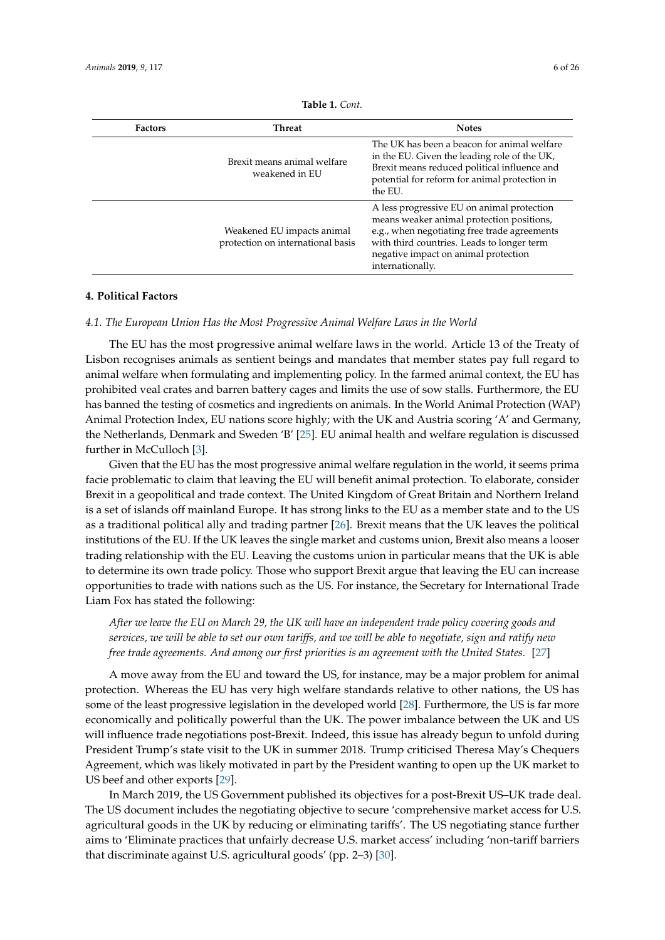<span id="page-5-0"></span>

| <b>Factors</b> | Threat                                                          | <b>Notes</b>                                                                                                                                                                                                                                      |
|----------------|-----------------------------------------------------------------|---------------------------------------------------------------------------------------------------------------------------------------------------------------------------------------------------------------------------------------------------|
|                | Brexit means animal welfare<br>weakened in EU                   | The UK has been a beacon for animal welfare<br>in the EU. Given the leading role of the UK,<br>Brexit means reduced political influence and<br>potential for reform for animal protection in<br>the EU.                                           |
|                | Weakened EU impacts animal<br>protection on international basis | A less progressive EU on animal protection<br>means weaker animal protection positions,<br>e.g., when negotiating free trade agreements<br>with third countries. Leads to longer term<br>negative impact on animal protection<br>internationally. |

**Table 1.** *Cont.*

#### **4. Political Factors**

## *4.1. The European Union Has the Most Progressive Animal Welfare Laws in the World*

The EU has the most progressive animal welfare laws in the world. Article 13 of the Treaty of Lisbon recognises animals as sentient beings and mandates that member states pay full regard to animal welfare when formulating and implementing policy. In the farmed animal context, the EU has prohibited veal crates and barren battery cages and limits the use of sow stalls. Furthermore, the EU has banned the testing of cosmetics and ingredients on animals. In the World Animal Protection (WAP) Animal Protection Index, EU nations score highly; with the UK and Austria scoring 'A' and Germany, the Netherlands, Denmark and Sweden 'B' [\[25\]](#page-21-5). EU animal health and welfare regulation is discussed further in McCulloch [\[3\]](#page-20-1).

Given that the EU has the most progressive animal welfare regulation in the world, it seems prima facie problematic to claim that leaving the EU will benefit animal protection. To elaborate, consider Brexit in a geopolitical and trade context. The United Kingdom of Great Britain and Northern Ireland is a set of islands off mainland Europe. It has strong links to the EU as a member state and to the US as a traditional political ally and trading partner [\[26\]](#page-21-6). Brexit means that the UK leaves the political institutions of the EU. If the UK leaves the single market and customs union, Brexit also means a looser trading relationship with the EU. Leaving the customs union in particular means that the UK is able to determine its own trade policy. Those who support Brexit argue that leaving the EU can increase opportunities to trade with nations such as the US. For instance, the Secretary for International Trade Liam Fox has stated the following:

*After we leave the EU on March 29, the UK will have an independent trade policy covering goods and services, we will be able to set our own tariffs, and we will be able to negotiate, sign and ratify new free trade agreements. And among our first priorities is an agreement with the United States.* [\[27\]](#page-21-7)

A move away from the EU and toward the US, for instance, may be a major problem for animal protection. Whereas the EU has very high welfare standards relative to other nations, the US has some of the least progressive legislation in the developed world [\[28\]](#page-21-8). Furthermore, the US is far more economically and politically powerful than the UK. The power imbalance between the UK and US will influence trade negotiations post-Brexit. Indeed, this issue has already begun to unfold during President Trump's state visit to the UK in summer 2018. Trump criticised Theresa May's Chequers Agreement, which was likely motivated in part by the President wanting to open up the UK market to US beef and other exports [\[29\]](#page-21-9).

In March 2019, the US Government published its objectives for a post-Brexit US–UK trade deal. The US document includes the negotiating objective to secure 'comprehensive market access for U.S. agricultural goods in the UK by reducing or eliminating tariffs'. The US negotiating stance further aims to 'Eliminate practices that unfairly decrease U.S. market access' including 'non-tariff barriers that discriminate against U.S. agricultural goods' (pp. 2–3) [\[30\]](#page-21-10).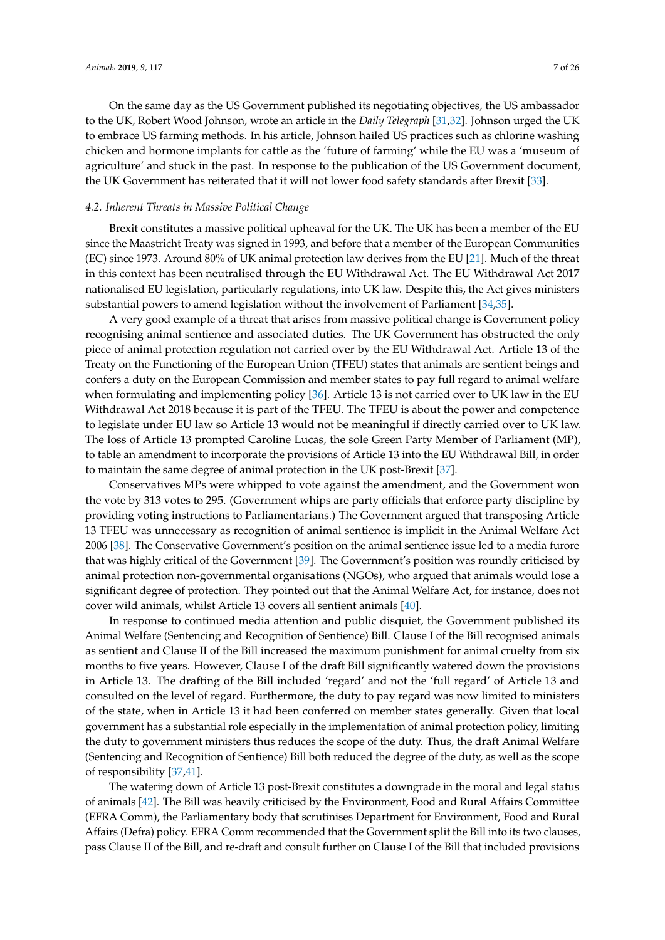On the same day as the US Government published its negotiating objectives, the US ambassador to the UK, Robert Wood Johnson, wrote an article in the *Daily Telegraph* [\[31,](#page-21-11)[32\]](#page-21-12). Johnson urged the UK to embrace US farming methods. In his article, Johnson hailed US practices such as chlorine washing chicken and hormone implants for cattle as the 'future of farming' while the EU was a 'museum of agriculture' and stuck in the past. In response to the publication of the US Government document, the UK Government has reiterated that it will not lower food safety standards after Brexit [\[33\]](#page-21-13).

#### *4.2. Inherent Threats in Massive Political Change*

Brexit constitutes a massive political upheaval for the UK. The UK has been a member of the EU since the Maastricht Treaty was signed in 1993, and before that a member of the European Communities (EC) since 1973. Around 80% of UK animal protection law derives from the EU [\[21\]](#page-21-1). Much of the threat in this context has been neutralised through the EU Withdrawal Act. The EU Withdrawal Act 2017 nationalised EU legislation, particularly regulations, into UK law. Despite this, the Act gives ministers substantial powers to amend legislation without the involvement of Parliament [\[34,](#page-21-14)[35\]](#page-21-15).

A very good example of a threat that arises from massive political change is Government policy recognising animal sentience and associated duties. The UK Government has obstructed the only piece of animal protection regulation not carried over by the EU Withdrawal Act. Article 13 of the Treaty on the Functioning of the European Union (TFEU) states that animals are sentient beings and confers a duty on the European Commission and member states to pay full regard to animal welfare when formulating and implementing policy [\[36\]](#page-21-16). Article 13 is not carried over to UK law in the EU Withdrawal Act 2018 because it is part of the TFEU. The TFEU is about the power and competence to legislate under EU law so Article 13 would not be meaningful if directly carried over to UK law. The loss of Article 13 prompted Caroline Lucas, the sole Green Party Member of Parliament (MP), to table an amendment to incorporate the provisions of Article 13 into the EU Withdrawal Bill, in order to maintain the same degree of animal protection in the UK post-Brexit [\[37\]](#page-21-17).

Conservatives MPs were whipped to vote against the amendment, and the Government won the vote by 313 votes to 295. (Government whips are party officials that enforce party discipline by providing voting instructions to Parliamentarians.) The Government argued that transposing Article 13 TFEU was unnecessary as recognition of animal sentience is implicit in the Animal Welfare Act 2006 [\[38\]](#page-21-18). The Conservative Government's position on the animal sentience issue led to a media furore that was highly critical of the Government [\[39\]](#page-21-19). The Government's position was roundly criticised by animal protection non-governmental organisations (NGOs), who argued that animals would lose a significant degree of protection. They pointed out that the Animal Welfare Act, for instance, does not cover wild animals, whilst Article 13 covers all sentient animals [\[40\]](#page-21-20).

In response to continued media attention and public disquiet, the Government published its Animal Welfare (Sentencing and Recognition of Sentience) Bill. Clause I of the Bill recognised animals as sentient and Clause II of the Bill increased the maximum punishment for animal cruelty from six months to five years. However, Clause I of the draft Bill significantly watered down the provisions in Article 13. The drafting of the Bill included 'regard' and not the 'full regard' of Article 13 and consulted on the level of regard. Furthermore, the duty to pay regard was now limited to ministers of the state, when in Article 13 it had been conferred on member states generally. Given that local government has a substantial role especially in the implementation of animal protection policy, limiting the duty to government ministers thus reduces the scope of the duty. Thus, the draft Animal Welfare (Sentencing and Recognition of Sentience) Bill both reduced the degree of the duty, as well as the scope of responsibility [\[37,](#page-21-17)[41\]](#page-21-21).

The watering down of Article 13 post-Brexit constitutes a downgrade in the moral and legal status of animals [\[42\]](#page-21-22). The Bill was heavily criticised by the Environment, Food and Rural Affairs Committee (EFRA Comm), the Parliamentary body that scrutinises Department for Environment, Food and Rural Affairs (Defra) policy. EFRA Comm recommended that the Government split the Bill into its two clauses, pass Clause II of the Bill, and re-draft and consult further on Clause I of the Bill that included provisions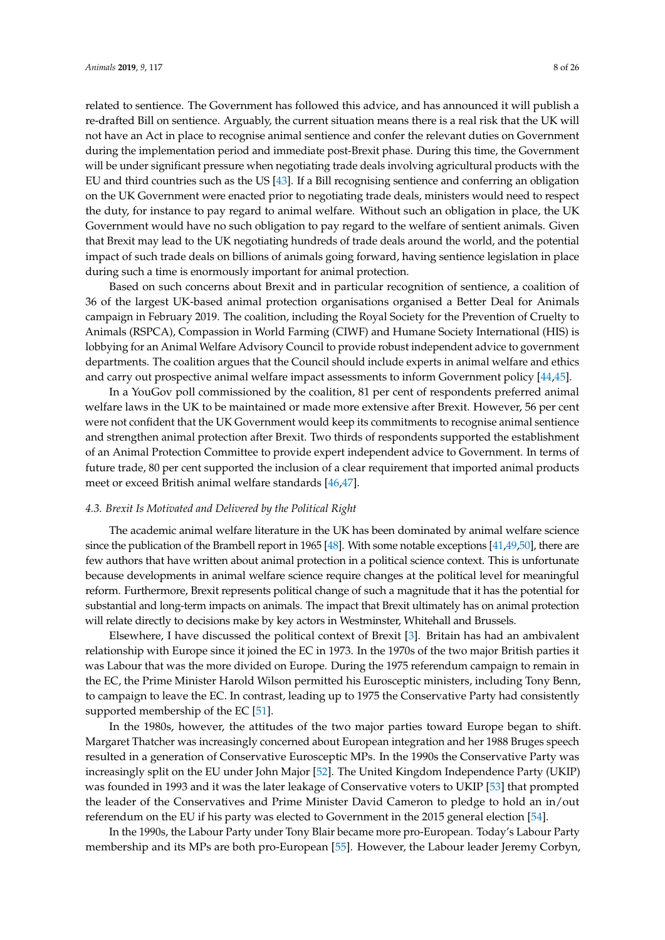related to sentience. The Government has followed this advice, and has announced it will publish a re-drafted Bill on sentience. Arguably, the current situation means there is a real risk that the UK will not have an Act in place to recognise animal sentience and confer the relevant duties on Government during the implementation period and immediate post-Brexit phase. During this time, the Government will be under significant pressure when negotiating trade deals involving agricultural products with the EU and third countries such as the US [\[43\]](#page-21-23). If a Bill recognising sentience and conferring an obligation on the UK Government were enacted prior to negotiating trade deals, ministers would need to respect the duty, for instance to pay regard to animal welfare. Without such an obligation in place, the UK Government would have no such obligation to pay regard to the welfare of sentient animals. Given that Brexit may lead to the UK negotiating hundreds of trade deals around the world, and the potential impact of such trade deals on billions of animals going forward, having sentience legislation in place during such a time is enormously important for animal protection.

Based on such concerns about Brexit and in particular recognition of sentience, a coalition of 36 of the largest UK-based animal protection organisations organised a Better Deal for Animals campaign in February 2019. The coalition, including the Royal Society for the Prevention of Cruelty to Animals (RSPCA), Compassion in World Farming (CIWF) and Humane Society International (HIS) is lobbying for an Animal Welfare Advisory Council to provide robust independent advice to government departments. The coalition argues that the Council should include experts in animal welfare and ethics and carry out prospective animal welfare impact assessments to inform Government policy [\[44,](#page-22-0)[45\]](#page-22-1).

In a YouGov poll commissioned by the coalition, 81 per cent of respondents preferred animal welfare laws in the UK to be maintained or made more extensive after Brexit. However, 56 per cent were not confident that the UK Government would keep its commitments to recognise animal sentience and strengthen animal protection after Brexit. Two thirds of respondents supported the establishment of an Animal Protection Committee to provide expert independent advice to Government. In terms of future trade, 80 per cent supported the inclusion of a clear requirement that imported animal products meet or exceed British animal welfare standards [\[46](#page-22-2)[,47\]](#page-22-3).

# *4.3. Brexit Is Motivated and Delivered by the Political Right*

The academic animal welfare literature in the UK has been dominated by animal welfare science since the publication of the Brambell report in 1965 [\[48\]](#page-22-4). With some notable exceptions [\[41](#page-21-21)[,49](#page-22-5)[,50\]](#page-22-6), there are few authors that have written about animal protection in a political science context. This is unfortunate because developments in animal welfare science require changes at the political level for meaningful reform. Furthermore, Brexit represents political change of such a magnitude that it has the potential for substantial and long-term impacts on animals. The impact that Brexit ultimately has on animal protection will relate directly to decisions make by key actors in Westminster, Whitehall and Brussels.

Elsewhere, I have discussed the political context of Brexit [\[3\]](#page-20-1). Britain has had an ambivalent relationship with Europe since it joined the EC in 1973. In the 1970s of the two major British parties it was Labour that was the more divided on Europe. During the 1975 referendum campaign to remain in the EC, the Prime Minister Harold Wilson permitted his Eurosceptic ministers, including Tony Benn, to campaign to leave the EC. In contrast, leading up to 1975 the Conservative Party had consistently supported membership of the EC [\[51\]](#page-22-7).

In the 1980s, however, the attitudes of the two major parties toward Europe began to shift. Margaret Thatcher was increasingly concerned about European integration and her 1988 Bruges speech resulted in a generation of Conservative Eurosceptic MPs. In the 1990s the Conservative Party was increasingly split on the EU under John Major [\[52\]](#page-22-8). The United Kingdom Independence Party (UKIP) was founded in 1993 and it was the later leakage of Conservative voters to UKIP [\[53\]](#page-22-9) that prompted the leader of the Conservatives and Prime Minister David Cameron to pledge to hold an in/out referendum on the EU if his party was elected to Government in the 2015 general election [\[54\]](#page-22-10).

In the 1990s, the Labour Party under Tony Blair became more pro-European. Today's Labour Party membership and its MPs are both pro-European [\[55\]](#page-22-11). However, the Labour leader Jeremy Corbyn,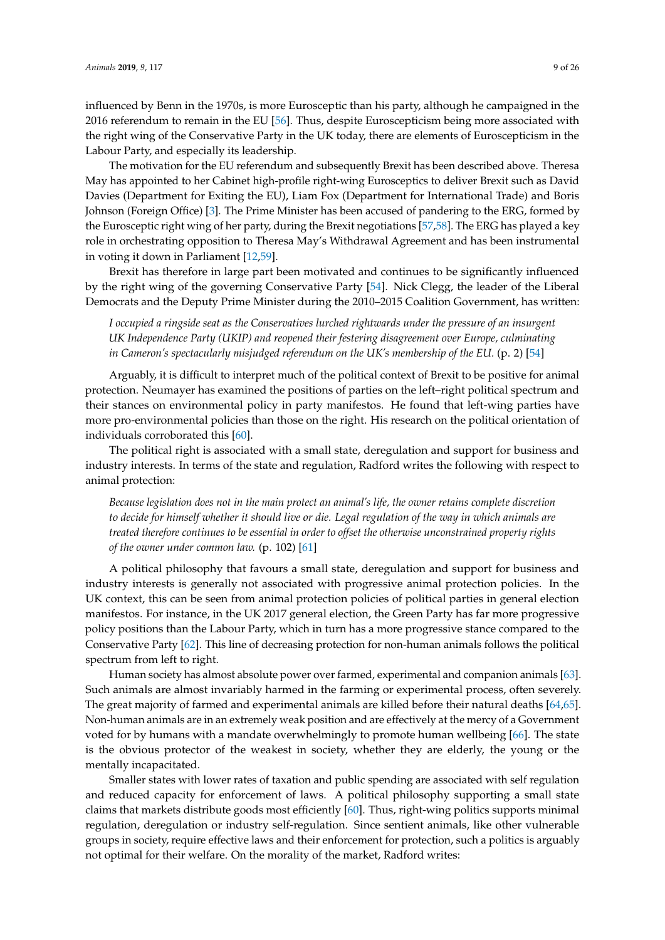influenced by Benn in the 1970s, is more Eurosceptic than his party, although he campaigned in the 2016 referendum to remain in the EU [\[56\]](#page-22-12). Thus, despite Euroscepticism being more associated with the right wing of the Conservative Party in the UK today, there are elements of Euroscepticism in the Labour Party, and especially its leadership.

The motivation for the EU referendum and subsequently Brexit has been described above. Theresa May has appointed to her Cabinet high-profile right-wing Eurosceptics to deliver Brexit such as David Davies (Department for Exiting the EU), Liam Fox (Department for International Trade) and Boris Johnson (Foreign Office) [\[3\]](#page-20-1). The Prime Minister has been accused of pandering to the ERG, formed by the Eurosceptic right wing of her party, during the Brexit negotiations [\[57](#page-22-13)[,58\]](#page-22-14). The ERG has played a key role in orchestrating opposition to Theresa May's Withdrawal Agreement and has been instrumental in voting it down in Parliament [\[12](#page-20-10)[,59\]](#page-22-15).

Brexit has therefore in large part been motivated and continues to be significantly influenced by the right wing of the governing Conservative Party [\[54\]](#page-22-10). Nick Clegg, the leader of the Liberal Democrats and the Deputy Prime Minister during the 2010–2015 Coalition Government, has written:

*I occupied a ringside seat as the Conservatives lurched rightwards under the pressure of an insurgent UK Independence Party (UKIP) and reopened their festering disagreement over Europe, culminating in Cameron's spectacularly misjudged referendum on the UK's membership of the EU.* (p. 2) [\[54\]](#page-22-10)

Arguably, it is difficult to interpret much of the political context of Brexit to be positive for animal protection. Neumayer has examined the positions of parties on the left–right political spectrum and their stances on environmental policy in party manifestos. He found that left-wing parties have more pro-environmental policies than those on the right. His research on the political orientation of individuals corroborated this [\[60\]](#page-22-16).

The political right is associated with a small state, deregulation and support for business and industry interests. In terms of the state and regulation, Radford writes the following with respect to animal protection:

*Because legislation does not in the main protect an animal's life, the owner retains complete discretion to decide for himself whether it should live or die. Legal regulation of the way in which animals are treated therefore continues to be essential in order to offset the otherwise unconstrained property rights of the owner under common law.* (p. 102) [\[61\]](#page-22-17)

A political philosophy that favours a small state, deregulation and support for business and industry interests is generally not associated with progressive animal protection policies. In the UK context, this can be seen from animal protection policies of political parties in general election manifestos. For instance, in the UK 2017 general election, the Green Party has far more progressive policy positions than the Labour Party, which in turn has a more progressive stance compared to the Conservative Party [\[62\]](#page-22-18). This line of decreasing protection for non-human animals follows the political spectrum from left to right.

Human society has almost absolute power over farmed, experimental and companion animals [\[63\]](#page-22-19). Such animals are almost invariably harmed in the farming or experimental process, often severely. The great majority of farmed and experimental animals are killed before their natural deaths [\[64,](#page-22-20)[65\]](#page-22-21). Non-human animals are in an extremely weak position and are effectively at the mercy of a Government voted for by humans with a mandate overwhelmingly to promote human wellbeing [\[66\]](#page-22-22). The state is the obvious protector of the weakest in society, whether they are elderly, the young or the mentally incapacitated.

Smaller states with lower rates of taxation and public spending are associated with self regulation and reduced capacity for enforcement of laws. A political philosophy supporting a small state claims that markets distribute goods most efficiently [\[60\]](#page-22-16). Thus, right-wing politics supports minimal regulation, deregulation or industry self-regulation. Since sentient animals, like other vulnerable groups in society, require effective laws and their enforcement for protection, such a politics is arguably not optimal for their welfare. On the morality of the market, Radford writes: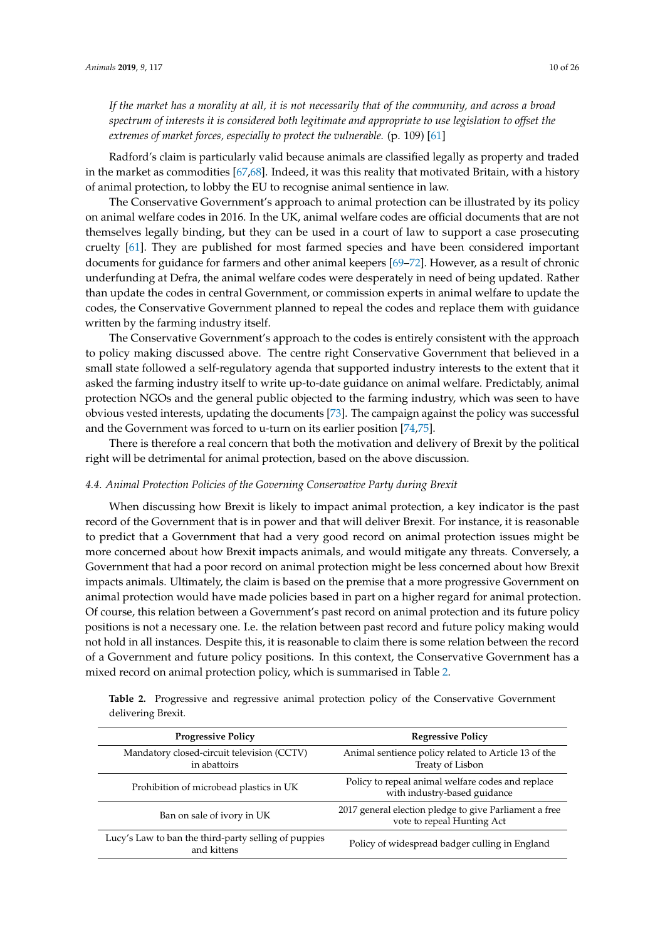*If the market has a morality at all, it is not necessarily that of the community, and across a broad spectrum of interests it is considered both legitimate and appropriate to use legislation to offset the extremes of market forces, especially to protect the vulnerable.* (p. 109) [\[61\]](#page-22-17)

Radford's claim is particularly valid because animals are classified legally as property and traded in the market as commodities [\[67,](#page-22-23)[68\]](#page-22-24). Indeed, it was this reality that motivated Britain, with a history of animal protection, to lobby the EU to recognise animal sentience in law.

The Conservative Government's approach to animal protection can be illustrated by its policy on animal welfare codes in 2016. In the UK, animal welfare codes are official documents that are not themselves legally binding, but they can be used in a court of law to support a case prosecuting cruelty [\[61\]](#page-22-17). They are published for most farmed species and have been considered important documents for guidance for farmers and other animal keepers [\[69–](#page-22-25)[72\]](#page-23-0). However, as a result of chronic underfunding at Defra, the animal welfare codes were desperately in need of being updated. Rather than update the codes in central Government, or commission experts in animal welfare to update the codes, the Conservative Government planned to repeal the codes and replace them with guidance written by the farming industry itself.

The Conservative Government's approach to the codes is entirely consistent with the approach to policy making discussed above. The centre right Conservative Government that believed in a small state followed a self-regulatory agenda that supported industry interests to the extent that it asked the farming industry itself to write up-to-date guidance on animal welfare. Predictably, animal protection NGOs and the general public objected to the farming industry, which was seen to have obvious vested interests, updating the documents [\[73\]](#page-23-1). The campaign against the policy was successful and the Government was forced to u-turn on its earlier position [\[74,](#page-23-2)[75\]](#page-23-3).

There is therefore a real concern that both the motivation and delivery of Brexit by the political right will be detrimental for animal protection, based on the above discussion.

## *4.4. Animal Protection Policies of the Governing Conservative Party during Brexit*

When discussing how Brexit is likely to impact animal protection, a key indicator is the past record of the Government that is in power and that will deliver Brexit. For instance, it is reasonable to predict that a Government that had a very good record on animal protection issues might be more concerned about how Brexit impacts animals, and would mitigate any threats. Conversely, a Government that had a poor record on animal protection might be less concerned about how Brexit impacts animals. Ultimately, the claim is based on the premise that a more progressive Government on animal protection would have made policies based in part on a higher regard for animal protection. Of course, this relation between a Government's past record on animal protection and its future policy positions is not a necessary one. I.e. the relation between past record and future policy making would not hold in all instances. Despite this, it is reasonable to claim there is some relation between the record of a Government and future policy positions. In this context, the Conservative Government has a mixed record on animal protection policy, which is summarised in Table [2.](#page-9-0)

| <b>Progressive Policy</b>                                           | <b>Regressive Policy</b>                                                             |
|---------------------------------------------------------------------|--------------------------------------------------------------------------------------|
| Mandatory closed-circuit television (CCTV)<br>in abattoirs          | Animal sentience policy related to Article 13 of the<br>Treaty of Lisbon             |
| Prohibition of microbead plastics in UK                             | Policy to repeal animal welfare codes and replace<br>with industry-based guidance    |
| Ban on sale of ivory in UK                                          | 2017 general election pledge to give Parliament a free<br>vote to repeal Hunting Act |
| Lucy's Law to ban the third-party selling of puppies<br>and kittens | Policy of widespread badger culling in England                                       |

<span id="page-9-0"></span>**Table 2.** Progressive and regressive animal protection policy of the Conservative Government delivering Brexit.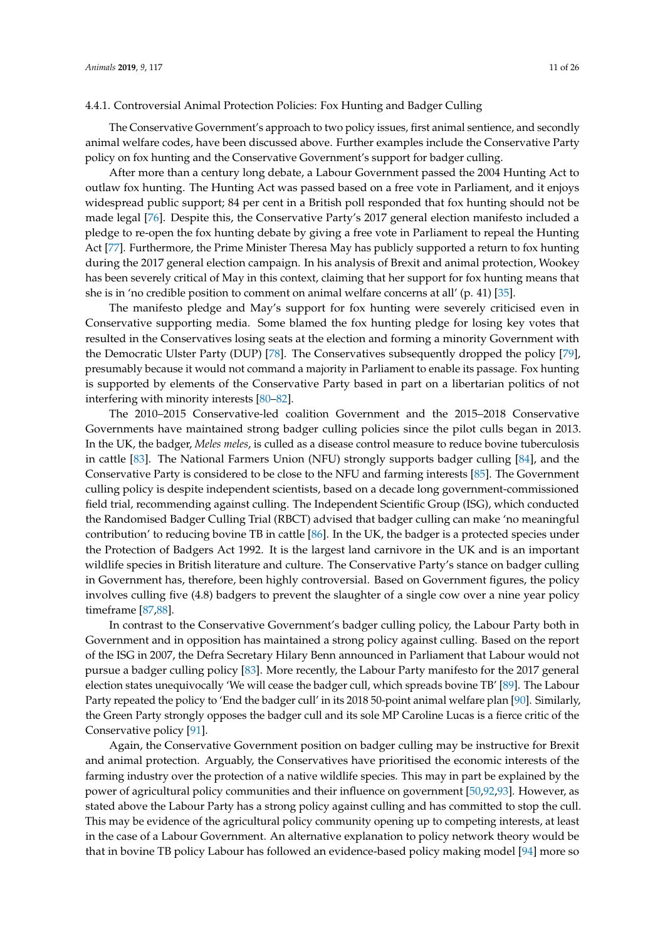## 4.4.1. Controversial Animal Protection Policies: Fox Hunting and Badger Culling

The Conservative Government's approach to two policy issues, first animal sentience, and secondly animal welfare codes, have been discussed above. Further examples include the Conservative Party policy on fox hunting and the Conservative Government's support for badger culling.

After more than a century long debate, a Labour Government passed the 2004 Hunting Act to outlaw fox hunting. The Hunting Act was passed based on a free vote in Parliament, and it enjoys widespread public support; 84 per cent in a British poll responded that fox hunting should not be made legal [\[76\]](#page-23-4). Despite this, the Conservative Party's 2017 general election manifesto included a pledge to re-open the fox hunting debate by giving a free vote in Parliament to repeal the Hunting Act [\[77\]](#page-23-5). Furthermore, the Prime Minister Theresa May has publicly supported a return to fox hunting during the 2017 general election campaign. In his analysis of Brexit and animal protection, Wookey has been severely critical of May in this context, claiming that her support for fox hunting means that she is in 'no credible position to comment on animal welfare concerns at all' (p. 41) [\[35\]](#page-21-15).

The manifesto pledge and May's support for fox hunting were severely criticised even in Conservative supporting media. Some blamed the fox hunting pledge for losing key votes that resulted in the Conservatives losing seats at the election and forming a minority Government with the Democratic Ulster Party (DUP) [\[78\]](#page-23-6). The Conservatives subsequently dropped the policy [\[79\]](#page-23-7), presumably because it would not command a majority in Parliament to enable its passage. Fox hunting is supported by elements of the Conservative Party based in part on a libertarian politics of not interfering with minority interests [\[80](#page-23-8)[–82\]](#page-23-9).

The 2010–2015 Conservative-led coalition Government and the 2015–2018 Conservative Governments have maintained strong badger culling policies since the pilot culls began in 2013. In the UK, the badger, *Meles meles*, is culled as a disease control measure to reduce bovine tuberculosis in cattle [\[83\]](#page-23-10). The National Farmers Union (NFU) strongly supports badger culling [\[84\]](#page-23-11), and the Conservative Party is considered to be close to the NFU and farming interests [\[85\]](#page-23-12). The Government culling policy is despite independent scientists, based on a decade long government-commissioned field trial, recommending against culling. The Independent Scientific Group (ISG), which conducted the Randomised Badger Culling Trial (RBCT) advised that badger culling can make 'no meaningful contribution' to reducing bovine TB in cattle [\[86\]](#page-23-13). In the UK, the badger is a protected species under the Protection of Badgers Act 1992. It is the largest land carnivore in the UK and is an important wildlife species in British literature and culture. The Conservative Party's stance on badger culling in Government has, therefore, been highly controversial. Based on Government figures, the policy involves culling five (4.8) badgers to prevent the slaughter of a single cow over a nine year policy timeframe [\[87](#page-23-14)[,88\]](#page-23-15).

In contrast to the Conservative Government's badger culling policy, the Labour Party both in Government and in opposition has maintained a strong policy against culling. Based on the report of the ISG in 2007, the Defra Secretary Hilary Benn announced in Parliament that Labour would not pursue a badger culling policy [\[83\]](#page-23-10). More recently, the Labour Party manifesto for the 2017 general election states unequivocally 'We will cease the badger cull, which spreads bovine TB' [\[89\]](#page-23-16). The Labour Party repeated the policy to 'End the badger cull' in its 2018 50-point animal welfare plan [\[90\]](#page-23-17). Similarly, the Green Party strongly opposes the badger cull and its sole MP Caroline Lucas is a fierce critic of the Conservative policy [\[91\]](#page-23-18).

Again, the Conservative Government position on badger culling may be instructive for Brexit and animal protection. Arguably, the Conservatives have prioritised the economic interests of the farming industry over the protection of a native wildlife species. This may in part be explained by the power of agricultural policy communities and their influence on government [\[50](#page-22-6)[,92](#page-23-19)[,93\]](#page-23-20). However, as stated above the Labour Party has a strong policy against culling and has committed to stop the cull. This may be evidence of the agricultural policy community opening up to competing interests, at least in the case of a Labour Government. An alternative explanation to policy network theory would be that in bovine TB policy Labour has followed an evidence-based policy making model [\[94\]](#page-23-21) more so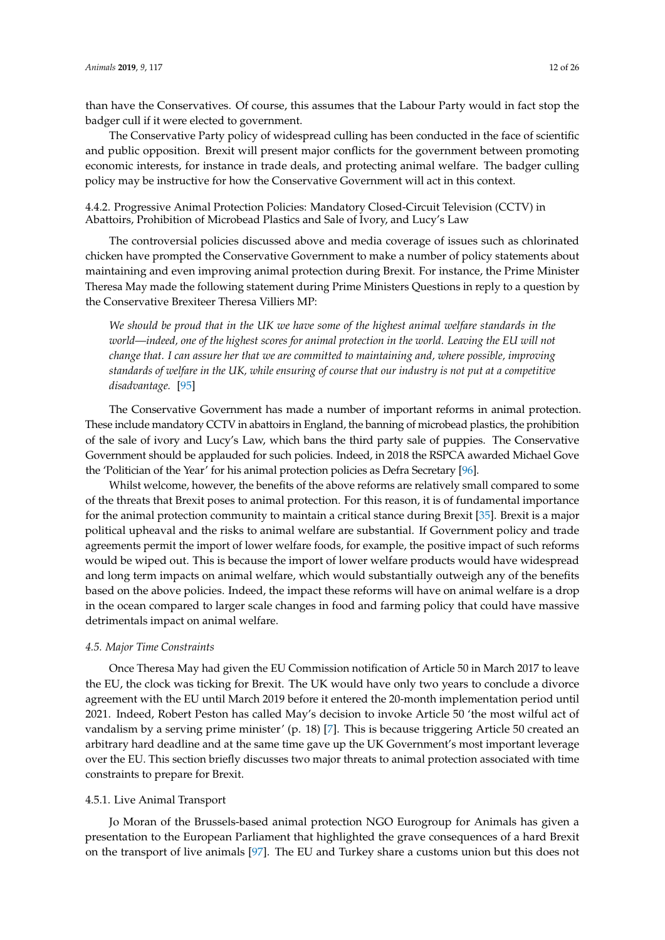than have the Conservatives. Of course, this assumes that the Labour Party would in fact stop the badger cull if it were elected to government.

The Conservative Party policy of widespread culling has been conducted in the face of scientific and public opposition. Brexit will present major conflicts for the government between promoting economic interests, for instance in trade deals, and protecting animal welfare. The badger culling policy may be instructive for how the Conservative Government will act in this context.

4.4.2. Progressive Animal Protection Policies: Mandatory Closed-Circuit Television (CCTV) in Abattoirs, Prohibition of Microbead Plastics and Sale of Ivory, and Lucy's Law

The controversial policies discussed above and media coverage of issues such as chlorinated chicken have prompted the Conservative Government to make a number of policy statements about maintaining and even improving animal protection during Brexit. For instance, the Prime Minister Theresa May made the following statement during Prime Ministers Questions in reply to a question by the Conservative Brexiteer Theresa Villiers MP:

*We should be proud that in the UK we have some of the highest animal welfare standards in the world—indeed, one of the highest scores for animal protection in the world. Leaving the EU will not change that. I can assure her that we are committed to maintaining and, where possible, improving standards of welfare in the UK, while ensuring of course that our industry is not put at a competitive disadvantage.* [\[95\]](#page-23-22)

The Conservative Government has made a number of important reforms in animal protection. These include mandatory CCTV in abattoirs in England, the banning of microbead plastics, the prohibition of the sale of ivory and Lucy's Law, which bans the third party sale of puppies. The Conservative Government should be applauded for such policies. Indeed, in 2018 the RSPCA awarded Michael Gove the 'Politician of the Year' for his animal protection policies as Defra Secretary [\[96\]](#page-23-23).

Whilst welcome, however, the benefits of the above reforms are relatively small compared to some of the threats that Brexit poses to animal protection. For this reason, it is of fundamental importance for the animal protection community to maintain a critical stance during Brexit [\[35\]](#page-21-15). Brexit is a major political upheaval and the risks to animal welfare are substantial. If Government policy and trade agreements permit the import of lower welfare foods, for example, the positive impact of such reforms would be wiped out. This is because the import of lower welfare products would have widespread and long term impacts on animal welfare, which would substantially outweigh any of the benefits based on the above policies. Indeed, the impact these reforms will have on animal welfare is a drop in the ocean compared to larger scale changes in food and farming policy that could have massive detrimentals impact on animal welfare.

#### *4.5. Major Time Constraints*

Once Theresa May had given the EU Commission notification of Article 50 in March 2017 to leave the EU, the clock was ticking for Brexit. The UK would have only two years to conclude a divorce agreement with the EU until March 2019 before it entered the 20-month implementation period until 2021. Indeed, Robert Peston has called May's decision to invoke Article 50 'the most wilful act of vandalism by a serving prime minister' (p. 18) [\[7\]](#page-20-5). This is because triggering Article 50 created an arbitrary hard deadline and at the same time gave up the UK Government's most important leverage over the EU. This section briefly discusses two major threats to animal protection associated with time constraints to prepare for Brexit.

#### 4.5.1. Live Animal Transport

Jo Moran of the Brussels-based animal protection NGO Eurogroup for Animals has given a presentation to the European Parliament that highlighted the grave consequences of a hard Brexit on the transport of live animals [\[97\]](#page-23-24). The EU and Turkey share a customs union but this does not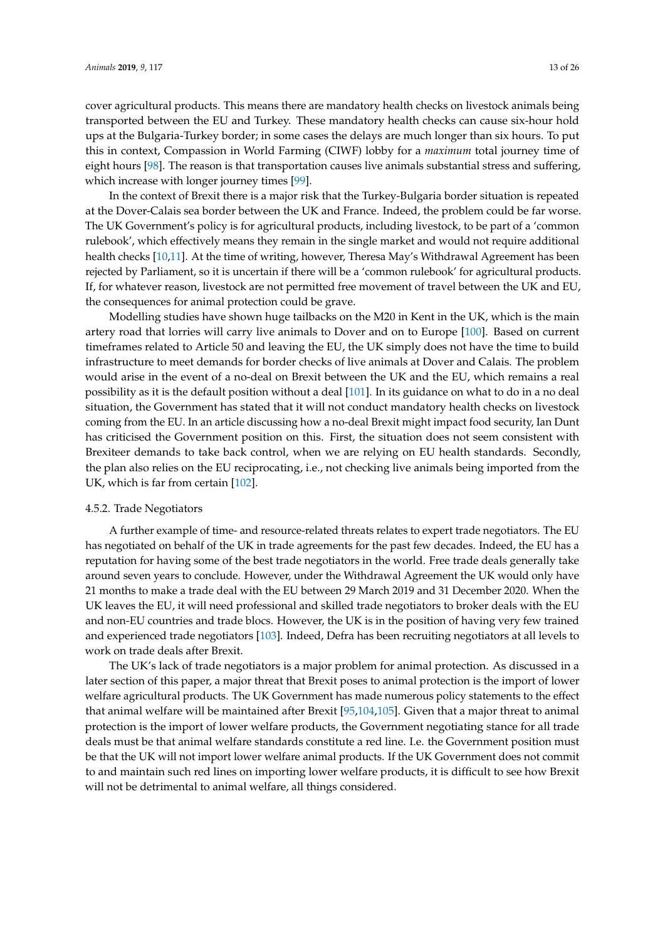cover agricultural products. This means there are mandatory health checks on livestock animals being transported between the EU and Turkey. These mandatory health checks can cause six-hour hold ups at the Bulgaria-Turkey border; in some cases the delays are much longer than six hours. To put this in context, Compassion in World Farming (CIWF) lobby for a *maximum* total journey time of eight hours [\[98\]](#page-24-0). The reason is that transportation causes live animals substantial stress and suffering, which increase with longer journey times [\[99\]](#page-24-1).

In the context of Brexit there is a major risk that the Turkey-Bulgaria border situation is repeated at the Dover-Calais sea border between the UK and France. Indeed, the problem could be far worse. The UK Government's policy is for agricultural products, including livestock, to be part of a 'common rulebook', which effectively means they remain in the single market and would not require additional health checks [\[10,](#page-20-8)[11\]](#page-20-9). At the time of writing, however, Theresa May's Withdrawal Agreement has been rejected by Parliament, so it is uncertain if there will be a 'common rulebook' for agricultural products. If, for whatever reason, livestock are not permitted free movement of travel between the UK and EU, the consequences for animal protection could be grave.

Modelling studies have shown huge tailbacks on the M20 in Kent in the UK, which is the main artery road that lorries will carry live animals to Dover and on to Europe [\[100\]](#page-24-2). Based on current timeframes related to Article 50 and leaving the EU, the UK simply does not have the time to build infrastructure to meet demands for border checks of live animals at Dover and Calais. The problem would arise in the event of a no-deal on Brexit between the UK and the EU, which remains a real possibility as it is the default position without a deal [\[101\]](#page-24-3). In its guidance on what to do in a no deal situation, the Government has stated that it will not conduct mandatory health checks on livestock coming from the EU. In an article discussing how a no-deal Brexit might impact food security, Ian Dunt has criticised the Government position on this. First, the situation does not seem consistent with Brexiteer demands to take back control, when we are relying on EU health standards. Secondly, the plan also relies on the EU reciprocating, i.e., not checking live animals being imported from the UK, which is far from certain [\[102\]](#page-24-4).

#### 4.5.2. Trade Negotiators

A further example of time- and resource-related threats relates to expert trade negotiators. The EU has negotiated on behalf of the UK in trade agreements for the past few decades. Indeed, the EU has a reputation for having some of the best trade negotiators in the world. Free trade deals generally take around seven years to conclude. However, under the Withdrawal Agreement the UK would only have 21 months to make a trade deal with the EU between 29 March 2019 and 31 December 2020. When the UK leaves the EU, it will need professional and skilled trade negotiators to broker deals with the EU and non-EU countries and trade blocs. However, the UK is in the position of having very few trained and experienced trade negotiators [\[103\]](#page-24-5). Indeed, Defra has been recruiting negotiators at all levels to work on trade deals after Brexit.

The UK's lack of trade negotiators is a major problem for animal protection. As discussed in a later section of this paper, a major threat that Brexit poses to animal protection is the import of lower welfare agricultural products. The UK Government has made numerous policy statements to the effect that animal welfare will be maintained after Brexit [\[95](#page-23-22)[,104](#page-24-6)[,105\]](#page-24-7). Given that a major threat to animal protection is the import of lower welfare products, the Government negotiating stance for all trade deals must be that animal welfare standards constitute a red line. I.e. the Government position must be that the UK will not import lower welfare animal products. If the UK Government does not commit to and maintain such red lines on importing lower welfare products, it is difficult to see how Brexit will not be detrimental to animal welfare, all things considered.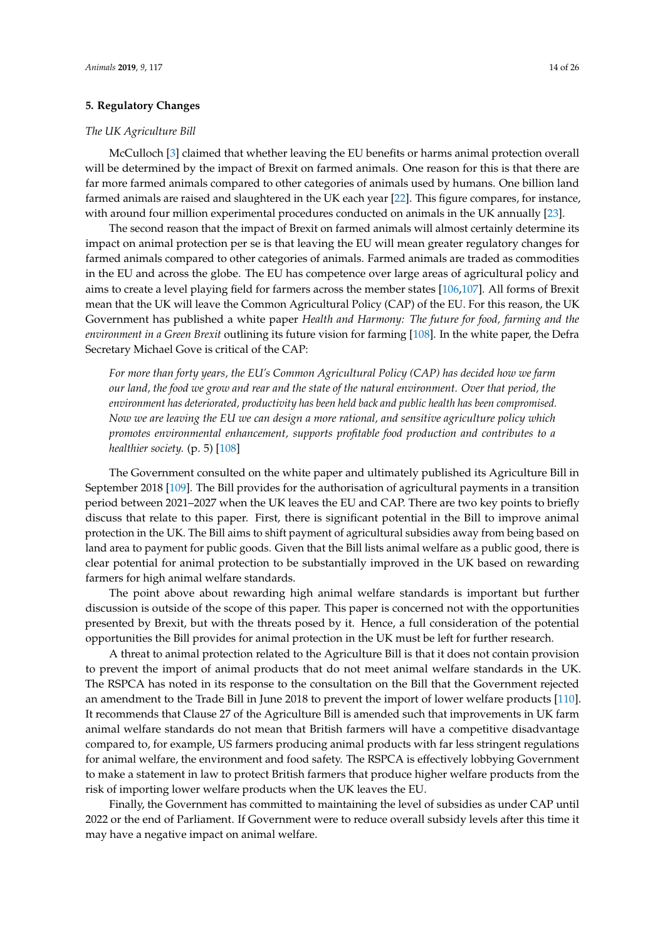## **5. Regulatory Changes**

#### *The UK Agriculture Bill*

McCulloch [\[3\]](#page-20-1) claimed that whether leaving the EU benefits or harms animal protection overall will be determined by the impact of Brexit on farmed animals. One reason for this is that there are far more farmed animals compared to other categories of animals used by humans. One billion land farmed animals are raised and slaughtered in the UK each year [\[22\]](#page-21-2). This figure compares, for instance, with around four million experimental procedures conducted on animals in the UK annually [\[23\]](#page-21-3).

The second reason that the impact of Brexit on farmed animals will almost certainly determine its impact on animal protection per se is that leaving the EU will mean greater regulatory changes for farmed animals compared to other categories of animals. Farmed animals are traded as commodities in the EU and across the globe. The EU has competence over large areas of agricultural policy and aims to create a level playing field for farmers across the member states [\[106](#page-24-8)[,107\]](#page-24-9). All forms of Brexit mean that the UK will leave the Common Agricultural Policy (CAP) of the EU. For this reason, the UK Government has published a white paper *Health and Harmony: The future for food, farming and the environment in a Green Brexit* outlining its future vision for farming [\[108\]](#page-24-10). In the white paper, the Defra Secretary Michael Gove is critical of the CAP:

*For more than forty years, the EU's Common Agricultural Policy (CAP) has decided how we farm our land, the food we grow and rear and the state of the natural environment. Over that period, the environment has deteriorated, productivity has been held back and public health has been compromised. Now we are leaving the EU we can design a more rational, and sensitive agriculture policy which promotes environmental enhancement, supports profitable food production and contributes to a healthier society.* (p. 5) [\[108\]](#page-24-10)

The Government consulted on the white paper and ultimately published its Agriculture Bill in September 2018 [\[109\]](#page-24-11). The Bill provides for the authorisation of agricultural payments in a transition period between 2021–2027 when the UK leaves the EU and CAP. There are two key points to briefly discuss that relate to this paper. First, there is significant potential in the Bill to improve animal protection in the UK. The Bill aims to shift payment of agricultural subsidies away from being based on land area to payment for public goods. Given that the Bill lists animal welfare as a public good, there is clear potential for animal protection to be substantially improved in the UK based on rewarding farmers for high animal welfare standards.

The point above about rewarding high animal welfare standards is important but further discussion is outside of the scope of this paper. This paper is concerned not with the opportunities presented by Brexit, but with the threats posed by it. Hence, a full consideration of the potential opportunities the Bill provides for animal protection in the UK must be left for further research.

A threat to animal protection related to the Agriculture Bill is that it does not contain provision to prevent the import of animal products that do not meet animal welfare standards in the UK. The RSPCA has noted in its response to the consultation on the Bill that the Government rejected an amendment to the Trade Bill in June 2018 to prevent the import of lower welfare products [\[110\]](#page-24-12). It recommends that Clause 27 of the Agriculture Bill is amended such that improvements in UK farm animal welfare standards do not mean that British farmers will have a competitive disadvantage compared to, for example, US farmers producing animal products with far less stringent regulations for animal welfare, the environment and food safety. The RSPCA is effectively lobbying Government to make a statement in law to protect British farmers that produce higher welfare products from the risk of importing lower welfare products when the UK leaves the EU.

Finally, the Government has committed to maintaining the level of subsidies as under CAP until 2022 or the end of Parliament. If Government were to reduce overall subsidy levels after this time it may have a negative impact on animal welfare.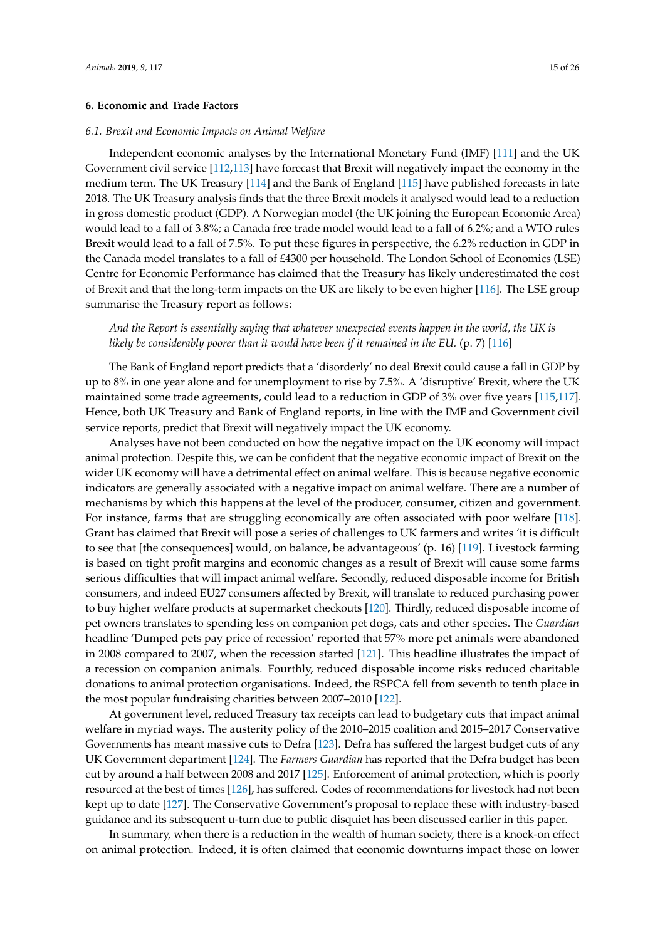#### **6. Economic and Trade Factors**

#### *6.1. Brexit and Economic Impacts on Animal Welfare*

Independent economic analyses by the International Monetary Fund (IMF) [\[111\]](#page-24-13) and the UK Government civil service [\[112](#page-24-14)[,113\]](#page-24-15) have forecast that Brexit will negatively impact the economy in the medium term. The UK Treasury [\[114\]](#page-24-16) and the Bank of England [\[115\]](#page-24-17) have published forecasts in late 2018. The UK Treasury analysis finds that the three Brexit models it analysed would lead to a reduction in gross domestic product (GDP). A Norwegian model (the UK joining the European Economic Area) would lead to a fall of 3.8%; a Canada free trade model would lead to a fall of 6.2%; and a WTO rules Brexit would lead to a fall of 7.5%. To put these figures in perspective, the 6.2% reduction in GDP in the Canada model translates to a fall of £4300 per household. The London School of Economics (LSE) Centre for Economic Performance has claimed that the Treasury has likely underestimated the cost of Brexit and that the long-term impacts on the UK are likely to be even higher [\[116\]](#page-24-18). The LSE group summarise the Treasury report as follows:

*And the Report is essentially saying that whatever unexpected events happen in the world, the UK is likely be considerably poorer than it would have been if it remained in the EU.* (p. 7) [\[116\]](#page-24-18)

The Bank of England report predicts that a 'disorderly' no deal Brexit could cause a fall in GDP by up to 8% in one year alone and for unemployment to rise by 7.5%. A 'disruptive' Brexit, where the UK maintained some trade agreements, could lead to a reduction in GDP of 3% over five years [\[115,](#page-24-17)[117\]](#page-24-19). Hence, both UK Treasury and Bank of England reports, in line with the IMF and Government civil service reports, predict that Brexit will negatively impact the UK economy.

Analyses have not been conducted on how the negative impact on the UK economy will impact animal protection. Despite this, we can be confident that the negative economic impact of Brexit on the wider UK economy will have a detrimental effect on animal welfare. This is because negative economic indicators are generally associated with a negative impact on animal welfare. There are a number of mechanisms by which this happens at the level of the producer, consumer, citizen and government. For instance, farms that are struggling economically are often associated with poor welfare [\[118\]](#page-24-20). Grant has claimed that Brexit will pose a series of challenges to UK farmers and writes 'it is difficult to see that [the consequences] would, on balance, be advantageous' (p. 16) [\[119\]](#page-24-21). Livestock farming is based on tight profit margins and economic changes as a result of Brexit will cause some farms serious difficulties that will impact animal welfare. Secondly, reduced disposable income for British consumers, and indeed EU27 consumers affected by Brexit, will translate to reduced purchasing power to buy higher welfare products at supermarket checkouts [\[120\]](#page-24-22). Thirdly, reduced disposable income of pet owners translates to spending less on companion pet dogs, cats and other species. The *Guardian* headline 'Dumped pets pay price of recession' reported that 57% more pet animals were abandoned in 2008 compared to 2007, when the recession started [\[121\]](#page-24-23). This headline illustrates the impact of a recession on companion animals. Fourthly, reduced disposable income risks reduced charitable donations to animal protection organisations. Indeed, the RSPCA fell from seventh to tenth place in the most popular fundraising charities between 2007–2010 [\[122\]](#page-24-24).

At government level, reduced Treasury tax receipts can lead to budgetary cuts that impact animal welfare in myriad ways. The austerity policy of the 2010–2015 coalition and 2015–2017 Conservative Governments has meant massive cuts to Defra [\[123\]](#page-24-25). Defra has suffered the largest budget cuts of any UK Government department [\[124\]](#page-24-26). The *Farmers Guardian* has reported that the Defra budget has been cut by around a half between 2008 and 2017 [\[125\]](#page-24-27). Enforcement of animal protection, which is poorly resourced at the best of times [\[126\]](#page-25-0), has suffered. Codes of recommendations for livestock had not been kept up to date [\[127\]](#page-25-1). The Conservative Government's proposal to replace these with industry-based guidance and its subsequent u-turn due to public disquiet has been discussed earlier in this paper.

In summary, when there is a reduction in the wealth of human society, there is a knock-on effect on animal protection. Indeed, it is often claimed that economic downturns impact those on lower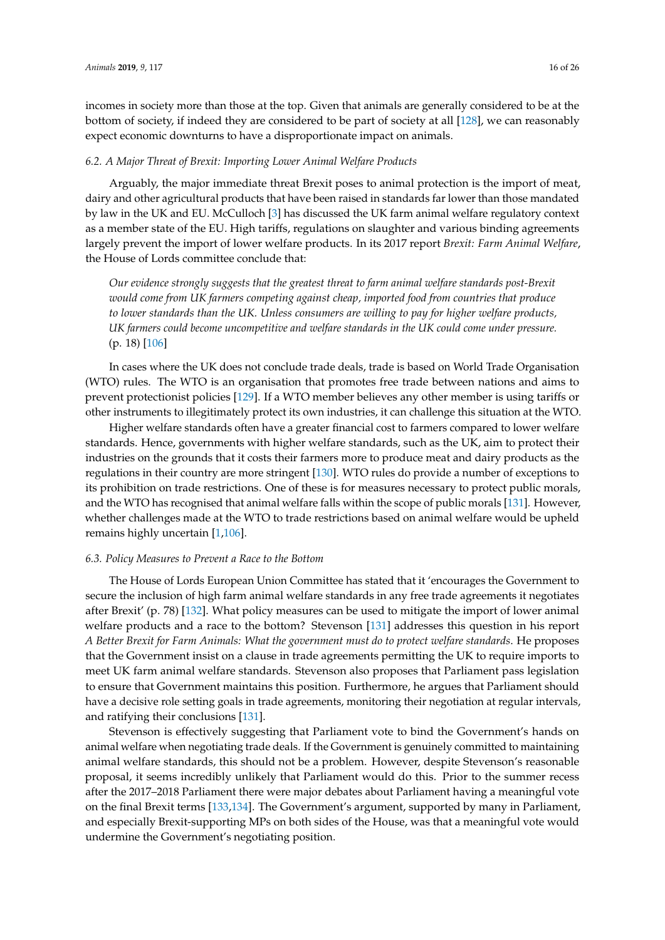incomes in society more than those at the top. Given that animals are generally considered to be at the bottom of society, if indeed they are considered to be part of society at all [\[128\]](#page-25-2), we can reasonably expect economic downturns to have a disproportionate impact on animals.

## *6.2. A Major Threat of Brexit: Importing Lower Animal Welfare Products*

Arguably, the major immediate threat Brexit poses to animal protection is the import of meat, dairy and other agricultural products that have been raised in standards far lower than those mandated by law in the UK and EU. McCulloch [\[3\]](#page-20-1) has discussed the UK farm animal welfare regulatory context as a member state of the EU. High tariffs, regulations on slaughter and various binding agreements largely prevent the import of lower welfare products. In its 2017 report *Brexit: Farm Animal Welfare*, the House of Lords committee conclude that:

*Our evidence strongly suggests that the greatest threat to farm animal welfare standards post-Brexit would come from UK farmers competing against cheap, imported food from countries that produce to lower standards than the UK. Unless consumers are willing to pay for higher welfare products, UK farmers could become uncompetitive and welfare standards in the UK could come under pressure.* (p. 18) [\[106\]](#page-24-8)

In cases where the UK does not conclude trade deals, trade is based on World Trade Organisation (WTO) rules. The WTO is an organisation that promotes free trade between nations and aims to prevent protectionist policies [\[129\]](#page-25-3). If a WTO member believes any other member is using tariffs or other instruments to illegitimately protect its own industries, it can challenge this situation at the WTO.

Higher welfare standards often have a greater financial cost to farmers compared to lower welfare standards. Hence, governments with higher welfare standards, such as the UK, aim to protect their industries on the grounds that it costs their farmers more to produce meat and dairy products as the regulations in their country are more stringent [\[130\]](#page-25-4). WTO rules do provide a number of exceptions to its prohibition on trade restrictions. One of these is for measures necessary to protect public morals, and the WTO has recognised that animal welfare falls within the scope of public morals [\[131\]](#page-25-5). However, whether challenges made at the WTO to trade restrictions based on animal welfare would be upheld remains highly uncertain [\[1](#page-20-0)[,106\]](#page-24-8).

#### *6.3. Policy Measures to Prevent a Race to the Bottom*

The House of Lords European Union Committee has stated that it 'encourages the Government to secure the inclusion of high farm animal welfare standards in any free trade agreements it negotiates after Brexit' (p. 78) [\[132\]](#page-25-6). What policy measures can be used to mitigate the import of lower animal welfare products and a race to the bottom? Stevenson [\[131\]](#page-25-5) addresses this question in his report *A Better Brexit for Farm Animals: What the government must do to protect welfare standards*. He proposes that the Government insist on a clause in trade agreements permitting the UK to require imports to meet UK farm animal welfare standards. Stevenson also proposes that Parliament pass legislation to ensure that Government maintains this position. Furthermore, he argues that Parliament should have a decisive role setting goals in trade agreements, monitoring their negotiation at regular intervals, and ratifying their conclusions [\[131\]](#page-25-5).

Stevenson is effectively suggesting that Parliament vote to bind the Government's hands on animal welfare when negotiating trade deals. If the Government is genuinely committed to maintaining animal welfare standards, this should not be a problem. However, despite Stevenson's reasonable proposal, it seems incredibly unlikely that Parliament would do this. Prior to the summer recess after the 2017–2018 Parliament there were major debates about Parliament having a meaningful vote on the final Brexit terms [\[133](#page-25-7)[,134\]](#page-25-8). The Government's argument, supported by many in Parliament, and especially Brexit-supporting MPs on both sides of the House, was that a meaningful vote would undermine the Government's negotiating position.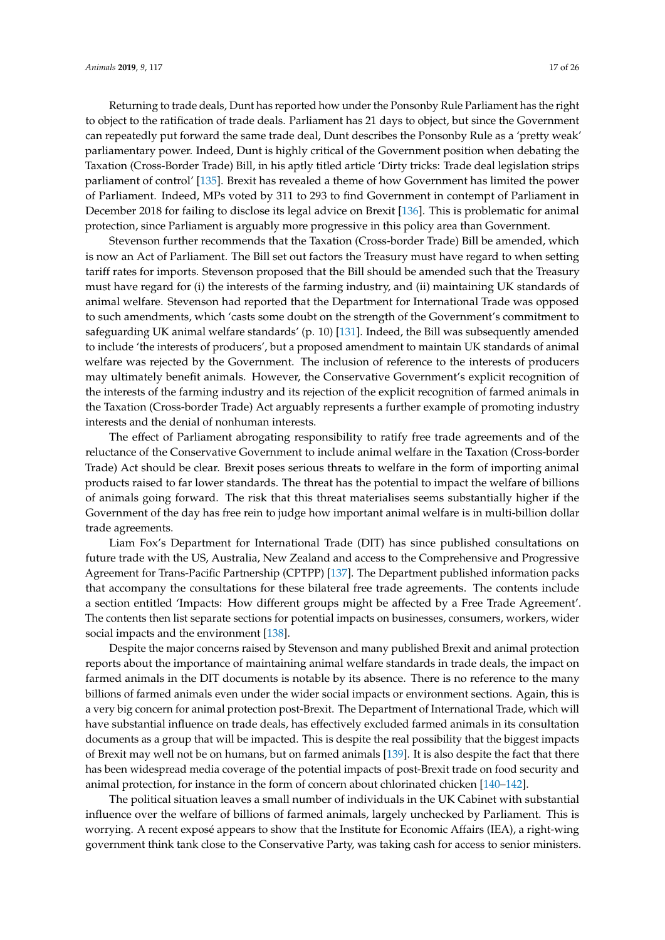Returning to trade deals, Dunt has reported how under the Ponsonby Rule Parliament has the right to object to the ratification of trade deals. Parliament has 21 days to object, but since the Government can repeatedly put forward the same trade deal, Dunt describes the Ponsonby Rule as a 'pretty weak' parliamentary power. Indeed, Dunt is highly critical of the Government position when debating the Taxation (Cross-Border Trade) Bill, in his aptly titled article 'Dirty tricks: Trade deal legislation strips parliament of control' [\[135\]](#page-25-9). Brexit has revealed a theme of how Government has limited the power of Parliament. Indeed, MPs voted by 311 to 293 to find Government in contempt of Parliament in December 2018 for failing to disclose its legal advice on Brexit [\[136\]](#page-25-10). This is problematic for animal protection, since Parliament is arguably more progressive in this policy area than Government.

Stevenson further recommends that the Taxation (Cross-border Trade) Bill be amended, which is now an Act of Parliament. The Bill set out factors the Treasury must have regard to when setting tariff rates for imports. Stevenson proposed that the Bill should be amended such that the Treasury must have regard for (i) the interests of the farming industry, and (ii) maintaining UK standards of animal welfare. Stevenson had reported that the Department for International Trade was opposed to such amendments, which 'casts some doubt on the strength of the Government's commitment to safeguarding UK animal welfare standards' (p. 10) [\[131\]](#page-25-5). Indeed, the Bill was subsequently amended to include 'the interests of producers', but a proposed amendment to maintain UK standards of animal welfare was rejected by the Government. The inclusion of reference to the interests of producers may ultimately benefit animals. However, the Conservative Government's explicit recognition of the interests of the farming industry and its rejection of the explicit recognition of farmed animals in the Taxation (Cross-border Trade) Act arguably represents a further example of promoting industry interests and the denial of nonhuman interests.

The effect of Parliament abrogating responsibility to ratify free trade agreements and of the reluctance of the Conservative Government to include animal welfare in the Taxation (Cross-border Trade) Act should be clear. Brexit poses serious threats to welfare in the form of importing animal products raised to far lower standards. The threat has the potential to impact the welfare of billions of animals going forward. The risk that this threat materialises seems substantially higher if the Government of the day has free rein to judge how important animal welfare is in multi-billion dollar trade agreements.

Liam Fox's Department for International Trade (DIT) has since published consultations on future trade with the US, Australia, New Zealand and access to the Comprehensive and Progressive Agreement for Trans-Pacific Partnership (CPTPP) [\[137\]](#page-25-11). The Department published information packs that accompany the consultations for these bilateral free trade agreements. The contents include a section entitled 'Impacts: How different groups might be affected by a Free Trade Agreement'. The contents then list separate sections for potential impacts on businesses, consumers, workers, wider social impacts and the environment [\[138\]](#page-25-12).

Despite the major concerns raised by Stevenson and many published Brexit and animal protection reports about the importance of maintaining animal welfare standards in trade deals, the impact on farmed animals in the DIT documents is notable by its absence. There is no reference to the many billions of farmed animals even under the wider social impacts or environment sections. Again, this is a very big concern for animal protection post-Brexit. The Department of International Trade, which will have substantial influence on trade deals, has effectively excluded farmed animals in its consultation documents as a group that will be impacted. This is despite the real possibility that the biggest impacts of Brexit may well not be on humans, but on farmed animals [\[139\]](#page-25-13). It is also despite the fact that there has been widespread media coverage of the potential impacts of post-Brexit trade on food security and animal protection, for instance in the form of concern about chlorinated chicken [\[140–](#page-25-14)[142\]](#page-25-15).

The political situation leaves a small number of individuals in the UK Cabinet with substantial influence over the welfare of billions of farmed animals, largely unchecked by Parliament. This is worrying. A recent exposé appears to show that the Institute for Economic Affairs (IEA), a right-wing government think tank close to the Conservative Party, was taking cash for access to senior ministers.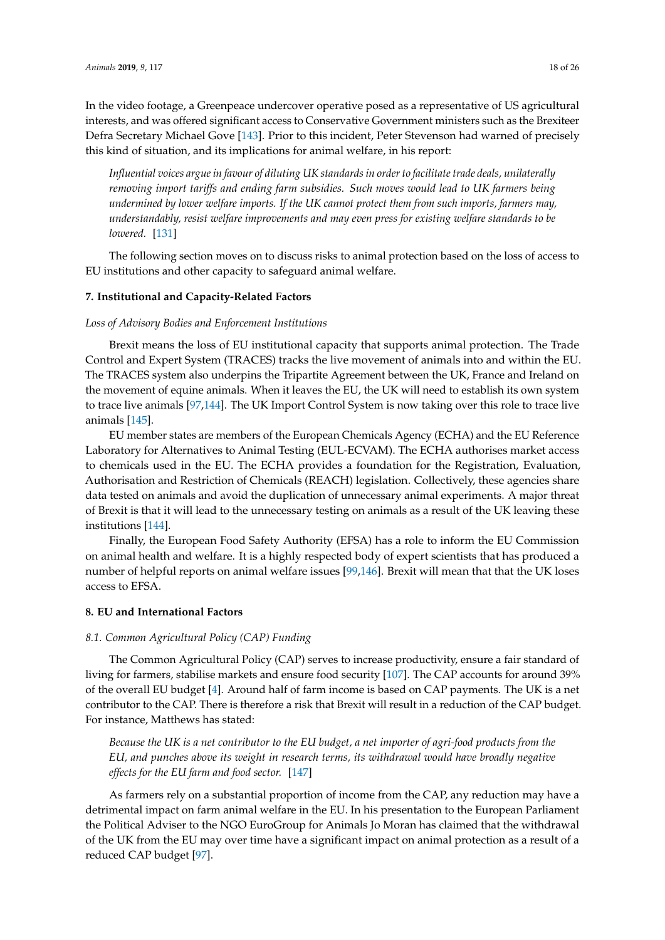In the video footage, a Greenpeace undercover operative posed as a representative of US agricultural interests, and was offered significant access to Conservative Government ministers such as the Brexiteer Defra Secretary Michael Gove [\[143\]](#page-25-16). Prior to this incident, Peter Stevenson had warned of precisely this kind of situation, and its implications for animal welfare, in his report:

*Influential voices argue in favour of diluting UK standards in order to facilitate trade deals, unilaterally removing import tariffs and ending farm subsidies. Such moves would lead to UK farmers being undermined by lower welfare imports. If the UK cannot protect them from such imports, farmers may, understandably, resist welfare improvements and may even press for existing welfare standards to be lowered.* [\[131\]](#page-25-5)

The following section moves on to discuss risks to animal protection based on the loss of access to EU institutions and other capacity to safeguard animal welfare.

## **7. Institutional and Capacity-Related Factors**

## *Loss of Advisory Bodies and Enforcement Institutions*

Brexit means the loss of EU institutional capacity that supports animal protection. The Trade Control and Expert System (TRACES) tracks the live movement of animals into and within the EU. The TRACES system also underpins the Tripartite Agreement between the UK, France and Ireland on the movement of equine animals. When it leaves the EU, the UK will need to establish its own system to trace live animals [\[97,](#page-23-24)[144\]](#page-25-17). The UK Import Control System is now taking over this role to trace live animals [\[145\]](#page-25-18).

EU member states are members of the European Chemicals Agency (ECHA) and the EU Reference Laboratory for Alternatives to Animal Testing (EUL-ECVAM). The ECHA authorises market access to chemicals used in the EU. The ECHA provides a foundation for the Registration, Evaluation, Authorisation and Restriction of Chemicals (REACH) legislation. Collectively, these agencies share data tested on animals and avoid the duplication of unnecessary animal experiments. A major threat of Brexit is that it will lead to the unnecessary testing on animals as a result of the UK leaving these institutions [\[144\]](#page-25-17).

Finally, the European Food Safety Authority (EFSA) has a role to inform the EU Commission on animal health and welfare. It is a highly respected body of expert scientists that has produced a number of helpful reports on animal welfare issues [\[99](#page-24-1)[,146\]](#page-25-19). Brexit will mean that that the UK loses access to EFSA.

## **8. EU and International Factors**

#### *8.1. Common Agricultural Policy (CAP) Funding*

The Common Agricultural Policy (CAP) serves to increase productivity, ensure a fair standard of living for farmers, stabilise markets and ensure food security [\[107\]](#page-24-9). The CAP accounts for around 39% of the overall EU budget [\[4\]](#page-20-2). Around half of farm income is based on CAP payments. The UK is a net contributor to the CAP. There is therefore a risk that Brexit will result in a reduction of the CAP budget. For instance, Matthews has stated:

*Because the UK is a net contributor to the EU budget, a net importer of agri-food products from the EU, and punches above its weight in research terms, its withdrawal would have broadly negative effects for the EU farm and food sector.* [\[147\]](#page-25-20)

As farmers rely on a substantial proportion of income from the CAP, any reduction may have a detrimental impact on farm animal welfare in the EU. In his presentation to the European Parliament the Political Adviser to the NGO EuroGroup for Animals Jo Moran has claimed that the withdrawal of the UK from the EU may over time have a significant impact on animal protection as a result of a reduced CAP budget [\[97\]](#page-23-24).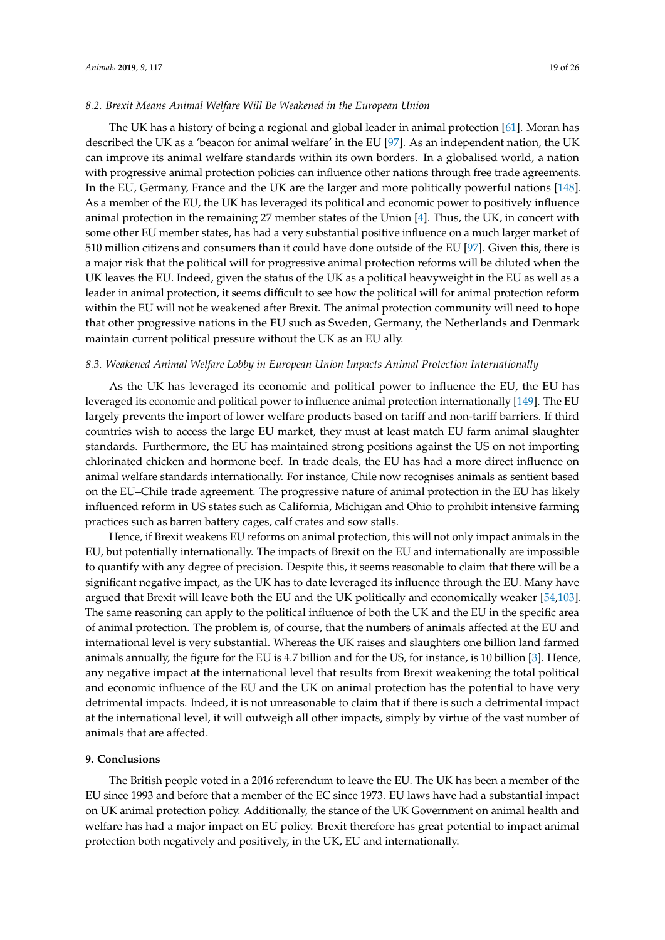#### *8.2. Brexit Means Animal Welfare Will Be Weakened in the European Union*

The UK has a history of being a regional and global leader in animal protection [\[61\]](#page-22-17). Moran has described the UK as a 'beacon for animal welfare' in the EU [\[97\]](#page-23-24). As an independent nation, the UK can improve its animal welfare standards within its own borders. In a globalised world, a nation with progressive animal protection policies can influence other nations through free trade agreements. In the EU, Germany, France and the UK are the larger and more politically powerful nations [\[148\]](#page-25-21). As a member of the EU, the UK has leveraged its political and economic power to positively influence animal protection in the remaining 27 member states of the Union [\[4\]](#page-20-2). Thus, the UK, in concert with some other EU member states, has had a very substantial positive influence on a much larger market of 510 million citizens and consumers than it could have done outside of the EU [\[97\]](#page-23-24). Given this, there is a major risk that the political will for progressive animal protection reforms will be diluted when the UK leaves the EU. Indeed, given the status of the UK as a political heavyweight in the EU as well as a leader in animal protection, it seems difficult to see how the political will for animal protection reform within the EU will not be weakened after Brexit. The animal protection community will need to hope that other progressive nations in the EU such as Sweden, Germany, the Netherlands and Denmark maintain current political pressure without the UK as an EU ally.

## *8.3. Weakened Animal Welfare Lobby in European Union Impacts Animal Protection Internationally*

As the UK has leveraged its economic and political power to influence the EU, the EU has leveraged its economic and political power to influence animal protection internationally [\[149\]](#page-25-22). The EU largely prevents the import of lower welfare products based on tariff and non-tariff barriers. If third countries wish to access the large EU market, they must at least match EU farm animal slaughter standards. Furthermore, the EU has maintained strong positions against the US on not importing chlorinated chicken and hormone beef. In trade deals, the EU has had a more direct influence on animal welfare standards internationally. For instance, Chile now recognises animals as sentient based on the EU–Chile trade agreement. The progressive nature of animal protection in the EU has likely influenced reform in US states such as California, Michigan and Ohio to prohibit intensive farming practices such as barren battery cages, calf crates and sow stalls.

Hence, if Brexit weakens EU reforms on animal protection, this will not only impact animals in the EU, but potentially internationally. The impacts of Brexit on the EU and internationally are impossible to quantify with any degree of precision. Despite this, it seems reasonable to claim that there will be a significant negative impact, as the UK has to date leveraged its influence through the EU. Many have argued that Brexit will leave both the EU and the UK politically and economically weaker [\[54,](#page-22-10)[103\]](#page-24-5). The same reasoning can apply to the political influence of both the UK and the EU in the specific area of animal protection. The problem is, of course, that the numbers of animals affected at the EU and international level is very substantial. Whereas the UK raises and slaughters one billion land farmed animals annually, the figure for the EU is 4.7 billion and for the US, for instance, is 10 billion [\[3\]](#page-20-1). Hence, any negative impact at the international level that results from Brexit weakening the total political and economic influence of the EU and the UK on animal protection has the potential to have very detrimental impacts. Indeed, it is not unreasonable to claim that if there is such a detrimental impact at the international level, it will outweigh all other impacts, simply by virtue of the vast number of animals that are affected.

## **9. Conclusions**

The British people voted in a 2016 referendum to leave the EU. The UK has been a member of the EU since 1993 and before that a member of the EC since 1973. EU laws have had a substantial impact on UK animal protection policy. Additionally, the stance of the UK Government on animal health and welfare has had a major impact on EU policy. Brexit therefore has great potential to impact animal protection both negatively and positively, in the UK, EU and internationally.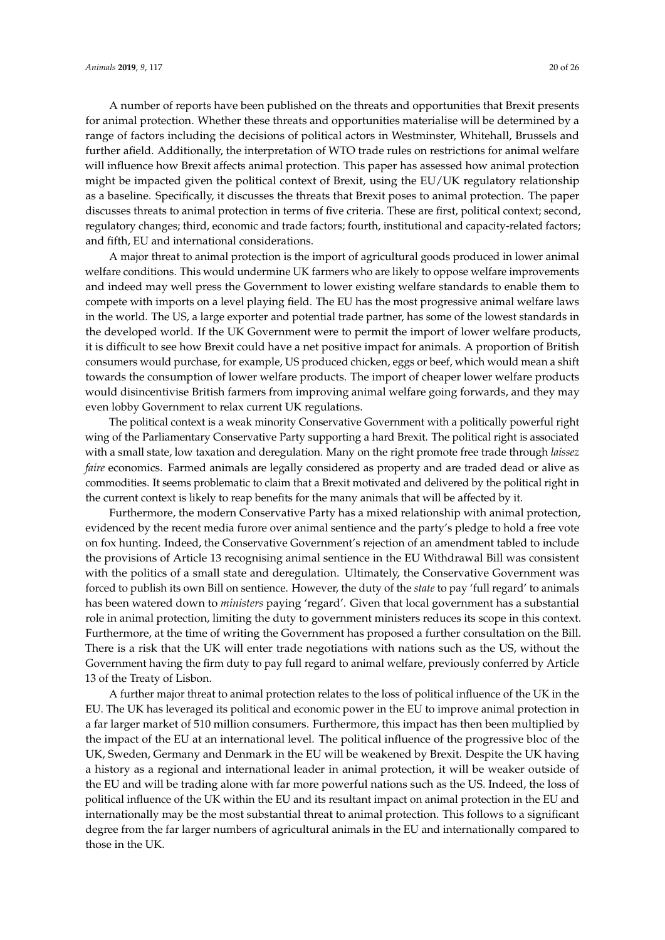A number of reports have been published on the threats and opportunities that Brexit presents for animal protection. Whether these threats and opportunities materialise will be determined by a range of factors including the decisions of political actors in Westminster, Whitehall, Brussels and further afield. Additionally, the interpretation of WTO trade rules on restrictions for animal welfare will influence how Brexit affects animal protection. This paper has assessed how animal protection might be impacted given the political context of Brexit, using the EU/UK regulatory relationship as a baseline. Specifically, it discusses the threats that Brexit poses to animal protection. The paper discusses threats to animal protection in terms of five criteria. These are first, political context; second, regulatory changes; third, economic and trade factors; fourth, institutional and capacity-related factors; and fifth, EU and international considerations.

A major threat to animal protection is the import of agricultural goods produced in lower animal welfare conditions. This would undermine UK farmers who are likely to oppose welfare improvements and indeed may well press the Government to lower existing welfare standards to enable them to compete with imports on a level playing field. The EU has the most progressive animal welfare laws in the world. The US, a large exporter and potential trade partner, has some of the lowest standards in the developed world. If the UK Government were to permit the import of lower welfare products, it is difficult to see how Brexit could have a net positive impact for animals. A proportion of British consumers would purchase, for example, US produced chicken, eggs or beef, which would mean a shift towards the consumption of lower welfare products. The import of cheaper lower welfare products would disincentivise British farmers from improving animal welfare going forwards, and they may even lobby Government to relax current UK regulations.

The political context is a weak minority Conservative Government with a politically powerful right wing of the Parliamentary Conservative Party supporting a hard Brexit. The political right is associated with a small state, low taxation and deregulation. Many on the right promote free trade through *laissez faire* economics. Farmed animals are legally considered as property and are traded dead or alive as commodities. It seems problematic to claim that a Brexit motivated and delivered by the political right in the current context is likely to reap benefits for the many animals that will be affected by it.

Furthermore, the modern Conservative Party has a mixed relationship with animal protection, evidenced by the recent media furore over animal sentience and the party's pledge to hold a free vote on fox hunting. Indeed, the Conservative Government's rejection of an amendment tabled to include the provisions of Article 13 recognising animal sentience in the EU Withdrawal Bill was consistent with the politics of a small state and deregulation. Ultimately, the Conservative Government was forced to publish its own Bill on sentience. However, the duty of the *state* to pay 'full regard' to animals has been watered down to *ministers* paying 'regard'. Given that local government has a substantial role in animal protection, limiting the duty to government ministers reduces its scope in this context. Furthermore, at the time of writing the Government has proposed a further consultation on the Bill. There is a risk that the UK will enter trade negotiations with nations such as the US, without the Government having the firm duty to pay full regard to animal welfare, previously conferred by Article 13 of the Treaty of Lisbon.

A further major threat to animal protection relates to the loss of political influence of the UK in the EU. The UK has leveraged its political and economic power in the EU to improve animal protection in a far larger market of 510 million consumers. Furthermore, this impact has then been multiplied by the impact of the EU at an international level. The political influence of the progressive bloc of the UK, Sweden, Germany and Denmark in the EU will be weakened by Brexit. Despite the UK having a history as a regional and international leader in animal protection, it will be weaker outside of the EU and will be trading alone with far more powerful nations such as the US. Indeed, the loss of political influence of the UK within the EU and its resultant impact on animal protection in the EU and internationally may be the most substantial threat to animal protection. This follows to a significant degree from the far larger numbers of agricultural animals in the EU and internationally compared to those in the UK.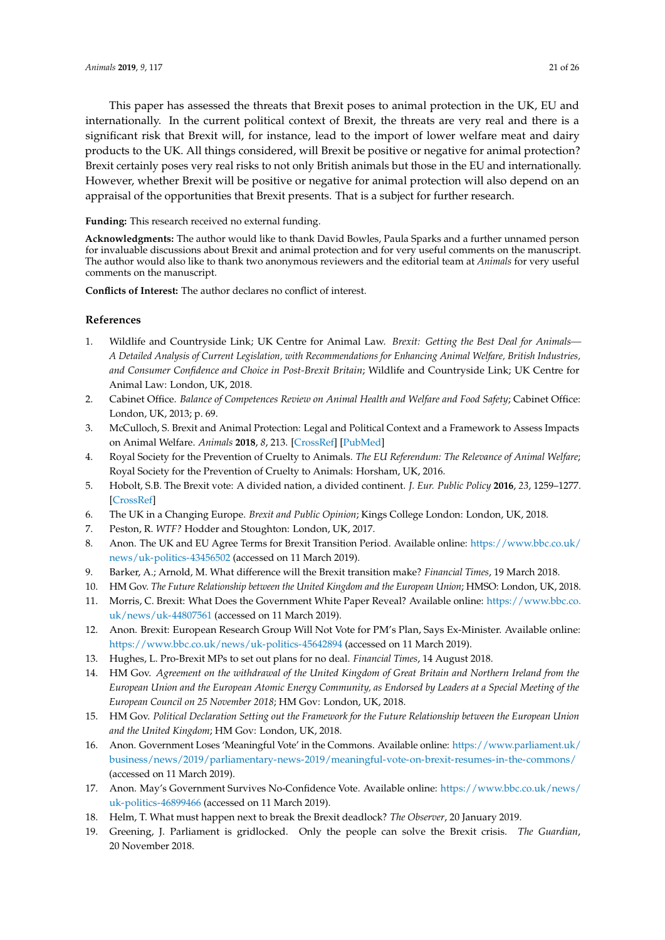This paper has assessed the threats that Brexit poses to animal protection in the UK, EU and internationally. In the current political context of Brexit, the threats are very real and there is a significant risk that Brexit will, for instance, lead to the import of lower welfare meat and dairy products to the UK. All things considered, will Brexit be positive or negative for animal protection? Brexit certainly poses very real risks to not only British animals but those in the EU and internationally. However, whether Brexit will be positive or negative for animal protection will also depend on an appraisal of the opportunities that Brexit presents. That is a subject for further research.

**Funding:** This research received no external funding.

**Acknowledgments:** The author would like to thank David Bowles, Paula Sparks and a further unnamed person for invaluable discussions about Brexit and animal protection and for very useful comments on the manuscript. The author would also like to thank two anonymous reviewers and the editorial team at *Animals* for very useful comments on the manuscript.

**Conflicts of Interest:** The author declares no conflict of interest.

## **References**

- <span id="page-20-0"></span>1. Wildlife and Countryside Link; UK Centre for Animal Law. *Brexit: Getting the Best Deal for Animals— A Detailed Analysis of Current Legislation, with Recommendations for Enhancing Animal Welfare, British Industries, and Consumer Confidence and Choice in Post-Brexit Britain*; Wildlife and Countryside Link; UK Centre for Animal Law: London, UK, 2018.
- 2. Cabinet Office. *Balance of Competences Review on Animal Health and Welfare and Food Safety*; Cabinet Office: London, UK, 2013; p. 69.
- <span id="page-20-1"></span>3. McCulloch, S. Brexit and Animal Protection: Legal and Political Context and a Framework to Assess Impacts on Animal Welfare. *Animals* **2018**, *8*, 213. [\[CrossRef\]](http://dx.doi.org/10.3390/ani8110213) [\[PubMed\]](http://www.ncbi.nlm.nih.gov/pubmed/30453693)
- <span id="page-20-2"></span>4. Royal Society for the Prevention of Cruelty to Animals. *The EU Referendum: The Relevance of Animal Welfare*; Royal Society for the Prevention of Cruelty to Animals: Horsham, UK, 2016.
- <span id="page-20-3"></span>5. Hobolt, S.B. The Brexit vote: A divided nation, a divided continent. *J. Eur. Public Policy* **2016**, *23*, 1259–1277. [\[CrossRef\]](http://dx.doi.org/10.1080/13501763.2016.1225785)
- <span id="page-20-4"></span>6. The UK in a Changing Europe. *Brexit and Public Opinion*; Kings College London: London, UK, 2018.
- <span id="page-20-5"></span>7. Peston, R. *WTF?* Hodder and Stoughton: London, UK, 2017.
- <span id="page-20-6"></span>8. Anon. The UK and EU Agree Terms for Brexit Transition Period. Available online: [https://www.bbc.co.uk/](https://www.bbc.co.uk/news/uk-politics-43456502) [news/uk-politics-43456502](https://www.bbc.co.uk/news/uk-politics-43456502) (accessed on 11 March 2019).
- <span id="page-20-7"></span>9. Barker, A.; Arnold, M. What difference will the Brexit transition make? *Financial Times*, 19 March 2018.
- <span id="page-20-8"></span>10. HM Gov. *The Future Relationship between the United Kingdom and the European Union*; HMSO: London, UK, 2018.
- <span id="page-20-9"></span>11. Morris, C. Brexit: What Does the Government White Paper Reveal? Available online: [https://www.bbc.co.](https://www.bbc.co.uk/news/uk-44807561) [uk/news/uk-44807561](https://www.bbc.co.uk/news/uk-44807561) (accessed on 11 March 2019).
- <span id="page-20-10"></span>12. Anon. Brexit: European Research Group Will Not Vote for PM's Plan, Says Ex-Minister. Available online: <https://www.bbc.co.uk/news/uk-politics-45642894> (accessed on 11 March 2019).
- <span id="page-20-11"></span>13. Hughes, L. Pro-Brexit MPs to set out plans for no deal. *Financial Times*, 14 August 2018.
- <span id="page-20-12"></span>14. HM Gov. *Agreement on the withdrawal of the United Kingdom of Great Britain and Northern Ireland from the European Union and the European Atomic Energy Community, as Endorsed by Leaders at a Special Meeting of the European Council on 25 November 2018*; HM Gov: London, UK, 2018.
- <span id="page-20-13"></span>15. HM Gov. *Political Declaration Setting out the Framework for the Future Relationship between the European Union and the United Kingdom*; HM Gov: London, UK, 2018.
- <span id="page-20-14"></span>16. Anon. Government Loses 'Meaningful Vote' in the Commons. Available online: [https://www.parliament.uk/](https://www.parliament.uk/business/news/2019/parliamentary-news-2019/meaningful-vote-on-brexit-resumes-in-the-commons/) [business/news/2019/parliamentary-news-2019/meaningful-vote-on-brexit-resumes-in-the-commons/](https://www.parliament.uk/business/news/2019/parliamentary-news-2019/meaningful-vote-on-brexit-resumes-in-the-commons/) (accessed on 11 March 2019).
- <span id="page-20-15"></span>17. Anon. May's Government Survives No-Confidence Vote. Available online: [https://www.bbc.co.uk/news/](https://www.bbc.co.uk/news/uk-politics-46899466) [uk-politics-46899466](https://www.bbc.co.uk/news/uk-politics-46899466) (accessed on 11 March 2019).
- <span id="page-20-16"></span>18. Helm, T. What must happen next to break the Brexit deadlock? *The Observer*, 20 January 2019.
- <span id="page-20-17"></span>19. Greening, J. Parliament is gridlocked. Only the people can solve the Brexit crisis. *The Guardian*, 20 November 2018.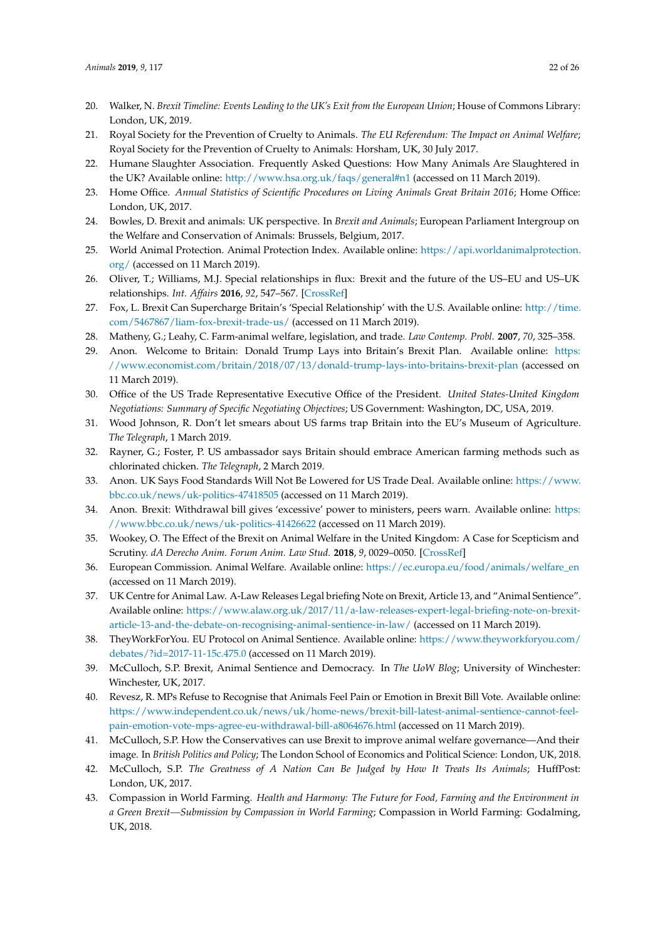- <span id="page-21-0"></span>20. Walker, N. *Brexit Timeline: Events Leading to the UK's Exit from the European Union*; House of Commons Library: London, UK, 2019.
- <span id="page-21-1"></span>21. Royal Society for the Prevention of Cruelty to Animals. *The EU Referendum: The Impact on Animal Welfare*; Royal Society for the Prevention of Cruelty to Animals: Horsham, UK, 30 July 2017.
- <span id="page-21-2"></span>22. Humane Slaughter Association. Frequently Asked Questions: How Many Animals Are Slaughtered in the UK? Available online: <http://www.hsa.org.uk/faqs/general#n1> (accessed on 11 March 2019).
- <span id="page-21-3"></span>23. Home Office. *Annual Statistics of Scientific Procedures on Living Animals Great Britain 2016*; Home Office: London, UK, 2017.
- <span id="page-21-4"></span>24. Bowles, D. Brexit and animals: UK perspective. In *Brexit and Animals*; European Parliament Intergroup on the Welfare and Conservation of Animals: Brussels, Belgium, 2017.
- <span id="page-21-5"></span>25. World Animal Protection. Animal Protection Index. Available online: [https://api.worldanimalprotection.](https://api.worldanimalprotection.org/) [org/](https://api.worldanimalprotection.org/) (accessed on 11 March 2019).
- <span id="page-21-6"></span>26. Oliver, T.; Williams, M.J. Special relationships in flux: Brexit and the future of the US–EU and US–UK relationships. *Int. Affairs* **2016**, *92*, 547–567. [\[CrossRef\]](http://dx.doi.org/10.1111/1468-2346.12606)
- <span id="page-21-7"></span>27. Fox, L. Brexit Can Supercharge Britain's 'Special Relationship' with the U.S. Available online: [http://time.](http://time.com/5467867/liam-fox-brexit-trade-us/) [com/5467867/liam-fox-brexit-trade-us/](http://time.com/5467867/liam-fox-brexit-trade-us/) (accessed on 11 March 2019).
- <span id="page-21-8"></span>28. Matheny, G.; Leahy, C. Farm-animal welfare, legislation, and trade. *Law Contemp. Probl.* **2007**, *70*, 325–358.
- <span id="page-21-9"></span>29. Anon. Welcome to Britain: Donald Trump Lays into Britain's Brexit Plan. Available online: [https:](https://www.economist.com/britain/2018/07/13/donald-trump-lays-into-britains-brexit-plan) [//www.economist.com/britain/2018/07/13/donald-trump-lays-into-britains-brexit-plan](https://www.economist.com/britain/2018/07/13/donald-trump-lays-into-britains-brexit-plan) (accessed on 11 March 2019).
- <span id="page-21-10"></span>30. Office of the US Trade Representative Executive Office of the President. *United States-United Kingdom Negotiations: Summary of Specific Negotiating Objectives*; US Government: Washington, DC, USA, 2019.
- <span id="page-21-11"></span>31. Wood Johnson, R. Don't let smears about US farms trap Britain into the EU's Museum of Agriculture. *The Telegraph*, 1 March 2019.
- <span id="page-21-12"></span>32. Rayner, G.; Foster, P. US ambassador says Britain should embrace American farming methods such as chlorinated chicken. *The Telegraph*, 2 March 2019.
- <span id="page-21-13"></span>33. Anon. UK Says Food Standards Will Not Be Lowered for US Trade Deal. Available online: [https://www.](https://www.bbc.co.uk/news/uk-politics-47418505) [bbc.co.uk/news/uk-politics-47418505](https://www.bbc.co.uk/news/uk-politics-47418505) (accessed on 11 March 2019).
- <span id="page-21-14"></span>34. Anon. Brexit: Withdrawal bill gives 'excessive' power to ministers, peers warn. Available online: [https:](https://www.bbc.co.uk/news/uk-politics-41426622) [//www.bbc.co.uk/news/uk-politics-41426622](https://www.bbc.co.uk/news/uk-politics-41426622) (accessed on 11 March 2019).
- <span id="page-21-15"></span>35. Wookey, O. The Effect of the Brexit on Animal Welfare in the United Kingdom: A Case for Scepticism and Scrutiny. *dA Derecho Anim. Forum Anim. Law Stud.* **2018**, *9*, 0029–0050. [\[CrossRef\]](http://dx.doi.org/10.5565/rev/da.340)
- <span id="page-21-16"></span>36. European Commission. Animal Welfare. Available online: [https://ec.europa.eu/food/animals/welfare\\_en](https://ec.europa.eu/food/animals/welfare_en) (accessed on 11 March 2019).
- <span id="page-21-17"></span>37. UK Centre for Animal Law. A-Law Releases Legal briefing Note on Brexit, Article 13, and "Animal Sentience". Available online: [https://www.alaw.org.uk/2017/11/a-law-releases-expert-legal-briefing-note-on-brexit](https://www.alaw.org.uk/2017/11/a-law-releases-expert-legal-briefing-note-on-brexit-article-13-and-the-debate-on-recognising-animal-sentience-in-law/)[article-13-and-the-debate-on-recognising-animal-sentience-in-law/](https://www.alaw.org.uk/2017/11/a-law-releases-expert-legal-briefing-note-on-brexit-article-13-and-the-debate-on-recognising-animal-sentience-in-law/) (accessed on 11 March 2019).
- <span id="page-21-18"></span>38. TheyWorkForYou. EU Protocol on Animal Sentience. Available online: [https://www.theyworkforyou.com/](https://www.theyworkforyou.com/debates/?id=2017-11-15c.475.0) [debates/?id=2017-11-15c.475.0](https://www.theyworkforyou.com/debates/?id=2017-11-15c.475.0) (accessed on 11 March 2019).
- <span id="page-21-19"></span>39. McCulloch, S.P. Brexit, Animal Sentience and Democracy. In *The UoW Blog*; University of Winchester: Winchester, UK, 2017.
- <span id="page-21-20"></span>40. Revesz, R. MPs Refuse to Recognise that Animals Feel Pain or Emotion in Brexit Bill Vote. Available online: [https://www.independent.co.uk/news/uk/home-news/brexit-bill-latest-animal-sentience-cannot-feel](https://www.independent.co.uk/news/uk/home-news/brexit-bill-latest-animal-sentience-cannot-feel-pain-emotion-vote-mps-agree-eu-withdrawal-bill-a8064676.html)[pain-emotion-vote-mps-agree-eu-withdrawal-bill-a8064676.html](https://www.independent.co.uk/news/uk/home-news/brexit-bill-latest-animal-sentience-cannot-feel-pain-emotion-vote-mps-agree-eu-withdrawal-bill-a8064676.html) (accessed on 11 March 2019).
- <span id="page-21-21"></span>41. McCulloch, S.P. How the Conservatives can use Brexit to improve animal welfare governance—And their image. In *British Politics and Policy*; The London School of Economics and Political Science: London, UK, 2018.
- <span id="page-21-22"></span>42. McCulloch, S.P. *The Greatness of A Nation Can Be Judged by How It Treats Its Animals*; HuffPost: London, UK, 2017.
- <span id="page-21-23"></span>43. Compassion in World Farming. *Health and Harmony: The Future for Food, Farming and the Environment in a Green Brexit—Submission by Compassion in World Farming*; Compassion in World Farming: Godalming, UK, 2018.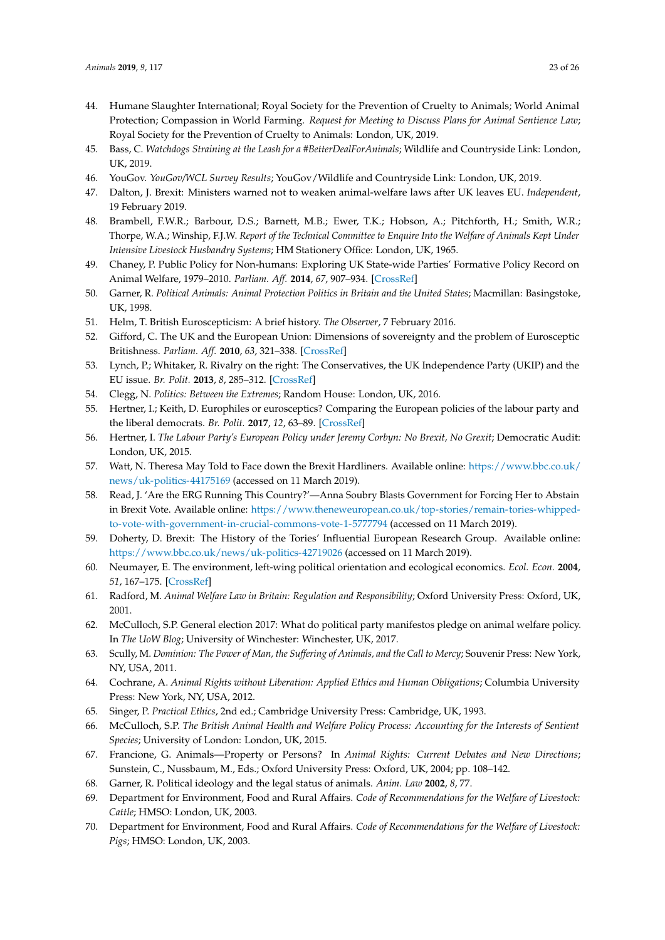- <span id="page-22-0"></span>44. Humane Slaughter International; Royal Society for the Prevention of Cruelty to Animals; World Animal Protection; Compassion in World Farming. *Request for Meeting to Discuss Plans for Animal Sentience Law*; Royal Society for the Prevention of Cruelty to Animals: London, UK, 2019.
- <span id="page-22-1"></span>45. Bass, C. *Watchdogs Straining at the Leash for a #BetterDealForAnimals*; Wildlife and Countryside Link: London, UK, 2019.
- <span id="page-22-2"></span>46. YouGov. *YouGov/WCL Survey Results*; YouGov/Wildlife and Countryside Link: London, UK, 2019.
- <span id="page-22-3"></span>47. Dalton, J. Brexit: Ministers warned not to weaken animal-welfare laws after UK leaves EU. *Independent*, 19 February 2019.
- <span id="page-22-4"></span>48. Brambell, F.W.R.; Barbour, D.S.; Barnett, M.B.; Ewer, T.K.; Hobson, A.; Pitchforth, H.; Smith, W.R.; Thorpe, W.A.; Winship, F.J.W. *Report of the Technical Committee to Enquire Into the Welfare of Animals Kept Under Intensive Livestock Husbandry Systems*; HM Stationery Office: London, UK, 1965.
- <span id="page-22-5"></span>49. Chaney, P. Public Policy for Non-humans: Exploring UK State-wide Parties' Formative Policy Record on Animal Welfare, 1979–2010. *Parliam. Aff.* **2014**, *67*, 907–934. [\[CrossRef\]](http://dx.doi.org/10.1093/pa/gss108)
- <span id="page-22-6"></span>50. Garner, R. *Political Animals: Animal Protection Politics in Britain and the United States*; Macmillan: Basingstoke, UK, 1998.
- <span id="page-22-7"></span>51. Helm, T. British Euroscepticism: A brief history. *The Observer*, 7 February 2016.
- <span id="page-22-8"></span>52. Gifford, C. The UK and the European Union: Dimensions of sovereignty and the problem of Eurosceptic Britishness. *Parliam. Aff.* **2010**, *63*, 321–338. [\[CrossRef\]](http://dx.doi.org/10.1093/pa/gsp031)
- <span id="page-22-9"></span>53. Lynch, P.; Whitaker, R. Rivalry on the right: The Conservatives, the UK Independence Party (UKIP) and the EU issue. *Br. Polit.* **2013**, *8*, 285–312. [\[CrossRef\]](http://dx.doi.org/10.1057/bp.2012.29)
- <span id="page-22-10"></span>54. Clegg, N. *Politics: Between the Extremes*; Random House: London, UK, 2016.
- <span id="page-22-11"></span>55. Hertner, I.; Keith, D. Europhiles or eurosceptics? Comparing the European policies of the labour party and the liberal democrats. *Br. Polit.* **2017**, *12*, 63–89. [\[CrossRef\]](http://dx.doi.org/10.1057/bp.2016.4)
- <span id="page-22-12"></span>56. Hertner, I. *The Labour Party's European Policy under Jeremy Corbyn: No Brexit, No Grexit*; Democratic Audit: London, UK, 2015.
- <span id="page-22-13"></span>57. Watt, N. Theresa May Told to Face down the Brexit Hardliners. Available online: [https://www.bbc.co.uk/](https://www.bbc.co.uk/news/uk-politics-44175169) [news/uk-politics-44175169](https://www.bbc.co.uk/news/uk-politics-44175169) (accessed on 11 March 2019).
- <span id="page-22-14"></span>58. Read, J. 'Are the ERG Running This Country?'—Anna Soubry Blasts Government for Forcing Her to Abstain in Brexit Vote. Available online: [https://www.theneweuropean.co.uk/top-stories/remain-tories-whipped](https://www.theneweuropean.co.uk/top-stories/remain-tories-whipped-to-vote-with-government-in-crucial-commons-vote-1-5777794)[to-vote-with-government-in-crucial-commons-vote-1-5777794](https://www.theneweuropean.co.uk/top-stories/remain-tories-whipped-to-vote-with-government-in-crucial-commons-vote-1-5777794) (accessed on 11 March 2019).
- <span id="page-22-15"></span>59. Doherty, D. Brexit: The History of the Tories' Influential European Research Group. Available online: <https://www.bbc.co.uk/news/uk-politics-42719026> (accessed on 11 March 2019).
- <span id="page-22-16"></span>60. Neumayer, E. The environment, left-wing political orientation and ecological economics. *Ecol. Econ.* **2004**, *51*, 167–175. [\[CrossRef\]](http://dx.doi.org/10.1016/j.ecolecon.2004.06.006)
- <span id="page-22-17"></span>61. Radford, M. *Animal Welfare Law in Britain: Regulation and Responsibility*; Oxford University Press: Oxford, UK, 2001.
- <span id="page-22-18"></span>62. McCulloch, S.P. General election 2017: What do political party manifestos pledge on animal welfare policy. In *The UoW Blog*; University of Winchester: Winchester, UK, 2017.
- <span id="page-22-19"></span>63. Scully, M. *Dominion: The Power of Man, the Suffering of Animals, and the Call to Mercy*; Souvenir Press: New York, NY, USA, 2011.
- <span id="page-22-20"></span>64. Cochrane, A. *Animal Rights without Liberation: Applied Ethics and Human Obligations*; Columbia University Press: New York, NY, USA, 2012.
- <span id="page-22-21"></span>65. Singer, P. *Practical Ethics*, 2nd ed.; Cambridge University Press: Cambridge, UK, 1993.
- <span id="page-22-22"></span>66. McCulloch, S.P. *The British Animal Health and Welfare Policy Process: Accounting for the Interests of Sentient Species*; University of London: London, UK, 2015.
- <span id="page-22-23"></span>67. Francione, G. Animals—Property or Persons? In *Animal Rights: Current Debates and New Directions*; Sunstein, C., Nussbaum, M., Eds.; Oxford University Press: Oxford, UK, 2004; pp. 108–142.
- <span id="page-22-24"></span>68. Garner, R. Political ideology and the legal status of animals. *Anim. Law* **2002**, *8*, 77.
- <span id="page-22-25"></span>69. Department for Environment, Food and Rural Affairs. *Code of Recommendations for the Welfare of Livestock: Cattle*; HMSO: London, UK, 2003.
- 70. Department for Environment, Food and Rural Affairs. *Code of Recommendations for the Welfare of Livestock: Pigs*; HMSO: London, UK, 2003.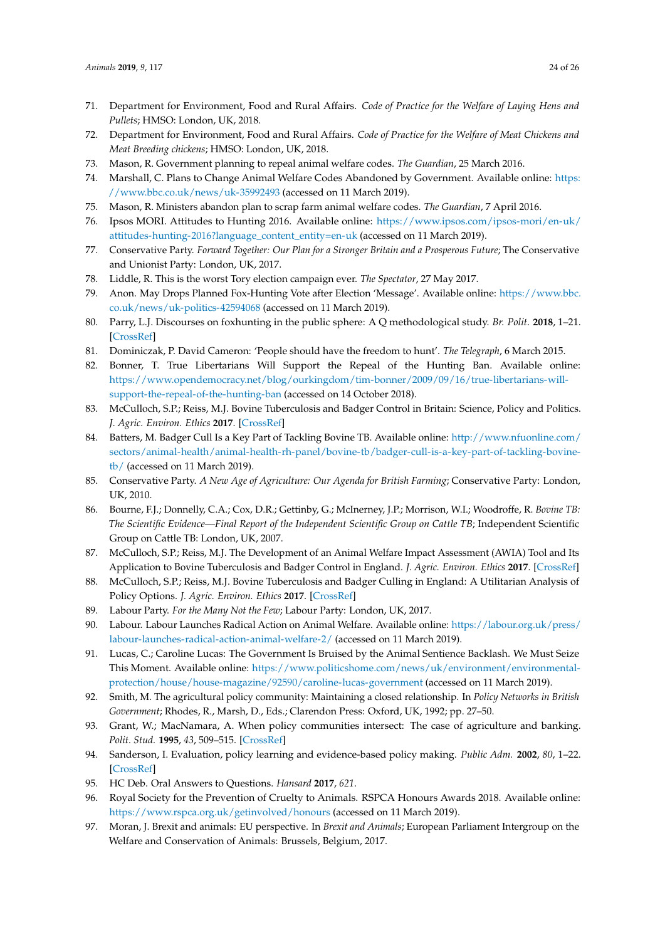- 71. Department for Environment, Food and Rural Affairs. *Code of Practice for the Welfare of Laying Hens and Pullets*; HMSO: London, UK, 2018.
- <span id="page-23-0"></span>72. Department for Environment, Food and Rural Affairs. *Code of Practice for the Welfare of Meat Chickens and Meat Breeding chickens*; HMSO: London, UK, 2018.
- <span id="page-23-1"></span>73. Mason, R. Government planning to repeal animal welfare codes. *The Guardian*, 25 March 2016.
- <span id="page-23-2"></span>74. Marshall, C. Plans to Change Animal Welfare Codes Abandoned by Government. Available online: [https:](https://www.bbc.co.uk/news/uk-35992493) [//www.bbc.co.uk/news/uk-35992493](https://www.bbc.co.uk/news/uk-35992493) (accessed on 11 March 2019).
- <span id="page-23-4"></span><span id="page-23-3"></span>75. Mason, R. Ministers abandon plan to scrap farm animal welfare codes. *The Guardian*, 7 April 2016.
- 76. Ipsos MORI. Attitudes to Hunting 2016. Available online: [https://www.ipsos.com/ipsos-mori/en-uk/](https://www.ipsos.com/ipsos-mori/en-uk/attitudes-hunting-2016?language_content_entity=en-uk) [attitudes-hunting-2016?language\\_content\\_entity=en-uk](https://www.ipsos.com/ipsos-mori/en-uk/attitudes-hunting-2016?language_content_entity=en-uk) (accessed on 11 March 2019).
- <span id="page-23-5"></span>77. Conservative Party. *Forward Together: Our Plan for a Stronger Britain and a Prosperous Future*; The Conservative and Unionist Party: London, UK, 2017.
- <span id="page-23-6"></span>78. Liddle, R. This is the worst Tory election campaign ever. *The Spectator*, 27 May 2017.
- <span id="page-23-7"></span>79. Anon. May Drops Planned Fox-Hunting Vote after Election 'Message'. Available online: [https://www.bbc.](https://www.bbc.co.uk/news/uk-politics-42594068) [co.uk/news/uk-politics-42594068](https://www.bbc.co.uk/news/uk-politics-42594068) (accessed on 11 March 2019).
- <span id="page-23-8"></span>80. Parry, L.J. Discourses on foxhunting in the public sphere: A Q methodological study. *Br. Polit.* **2018**, 1–21. [\[CrossRef\]](http://dx.doi.org/10.1057/s41293-018-0089-5)
- 81. Dominiczak, P. David Cameron: 'People should have the freedom to hunt'. *The Telegraph*, 6 March 2015.
- <span id="page-23-9"></span>82. Bonner, T. True Libertarians Will Support the Repeal of the Hunting Ban. Available online: [https://www.opendemocracy.net/blog/ourkingdom/tim-bonner/2009/09/16/true-libertarians-will](https://www.opendemocracy.net/blog/ourkingdom/tim-bonner/2009/09/16/true-libertarians-will-support-the-repeal-of-the-hunting-ban)[support-the-repeal-of-the-hunting-ban](https://www.opendemocracy.net/blog/ourkingdom/tim-bonner/2009/09/16/true-libertarians-will-support-the-repeal-of-the-hunting-ban) (accessed on 14 October 2018).
- <span id="page-23-10"></span>83. McCulloch, S.P.; Reiss, M.J. Bovine Tuberculosis and Badger Control in Britain: Science, Policy and Politics. *J. Agric. Environ. Ethics* **2017**. [\[CrossRef\]](http://dx.doi.org/10.1007/s10806-017-9686-3)
- <span id="page-23-11"></span>84. Batters, M. Badger Cull Is a Key Part of Tackling Bovine TB. Available online: [http://www.nfuonline.com/](http://www.nfuonline.com/sectors/animal-health/animal-health-rh-panel/bovine-tb/badger-cull-is-a-key-part-of-tackling-bovine-tb/) [sectors/animal-health/animal-health-rh-panel/bovine-tb/badger-cull-is-a-key-part-of-tackling-bovine](http://www.nfuonline.com/sectors/animal-health/animal-health-rh-panel/bovine-tb/badger-cull-is-a-key-part-of-tackling-bovine-tb/)[tb/](http://www.nfuonline.com/sectors/animal-health/animal-health-rh-panel/bovine-tb/badger-cull-is-a-key-part-of-tackling-bovine-tb/) (accessed on 11 March 2019).
- <span id="page-23-12"></span>85. Conservative Party. *A New Age of Agriculture: Our Agenda for British Farming*; Conservative Party: London, UK, 2010.
- <span id="page-23-13"></span>86. Bourne, F.J.; Donnelly, C.A.; Cox, D.R.; Gettinby, G.; McInerney, J.P.; Morrison, W.I.; Woodroffe, R. *Bovine TB: The Scientific Evidence—Final Report of the Independent Scientific Group on Cattle TB*; Independent Scientific Group on Cattle TB: London, UK, 2007.
- <span id="page-23-14"></span>87. McCulloch, S.P.; Reiss, M.J. The Development of an Animal Welfare Impact Assessment (AWIA) Tool and Its Application to Bovine Tuberculosis and Badger Control in England. *J. Agric. Environ. Ethics* **2017**. [\[CrossRef\]](http://dx.doi.org/10.1007/s10806-017-9684-5)
- <span id="page-23-15"></span>88. McCulloch, S.P.; Reiss, M.J. Bovine Tuberculosis and Badger Culling in England: A Utilitarian Analysis of Policy Options. *J. Agric. Environ. Ethics* **2017**. [\[CrossRef\]](http://dx.doi.org/10.1007/s10806-017-9680-9)
- <span id="page-23-16"></span>89. Labour Party. *For the Many Not the Few*; Labour Party: London, UK, 2017.
- <span id="page-23-17"></span>90. Labour. Labour Launches Radical Action on Animal Welfare. Available online: [https://labour.org.uk/press/](https://labour.org.uk/press/labour-launches-radical-action-animal-welfare-2/) [labour-launches-radical-action-animal-welfare-2/](https://labour.org.uk/press/labour-launches-radical-action-animal-welfare-2/) (accessed on 11 March 2019).
- <span id="page-23-18"></span>91. Lucas, C.; Caroline Lucas: The Government Is Bruised by the Animal Sentience Backlash. We Must Seize This Moment. Available online: [https://www.politicshome.com/news/uk/environment/environmental](https://www.politicshome.com/news/uk/environment/environmental-protection/house/house-magazine/92590/caroline-lucas-government)[protection/house/house-magazine/92590/caroline-lucas-government](https://www.politicshome.com/news/uk/environment/environmental-protection/house/house-magazine/92590/caroline-lucas-government) (accessed on 11 March 2019).
- <span id="page-23-19"></span>92. Smith, M. The agricultural policy community: Maintaining a closed relationship. In *Policy Networks in British Government*; Rhodes, R., Marsh, D., Eds.; Clarendon Press: Oxford, UK, 1992; pp. 27–50.
- <span id="page-23-20"></span>93. Grant, W.; MacNamara, A. When policy communities intersect: The case of agriculture and banking. *Polit. Stud.* **1995**, *43*, 509–515. [\[CrossRef\]](http://dx.doi.org/10.1111/j.1467-9248.1995.tb00319.x)
- <span id="page-23-21"></span>94. Sanderson, I. Evaluation, policy learning and evidence-based policy making. *Public Adm.* **2002**, *80*, 1–22. [\[CrossRef\]](http://dx.doi.org/10.1111/1467-9299.00292)
- <span id="page-23-22"></span>95. HC Deb. Oral Answers to Questions. *Hansard* **2017**, *621*.
- <span id="page-23-23"></span>96. Royal Society for the Prevention of Cruelty to Animals. RSPCA Honours Awards 2018. Available online: <https://www.rspca.org.uk/getinvolved/honours> (accessed on 11 March 2019).
- <span id="page-23-24"></span>97. Moran, J. Brexit and animals: EU perspective. In *Brexit and Animals*; European Parliament Intergroup on the Welfare and Conservation of Animals: Brussels, Belgium, 2017.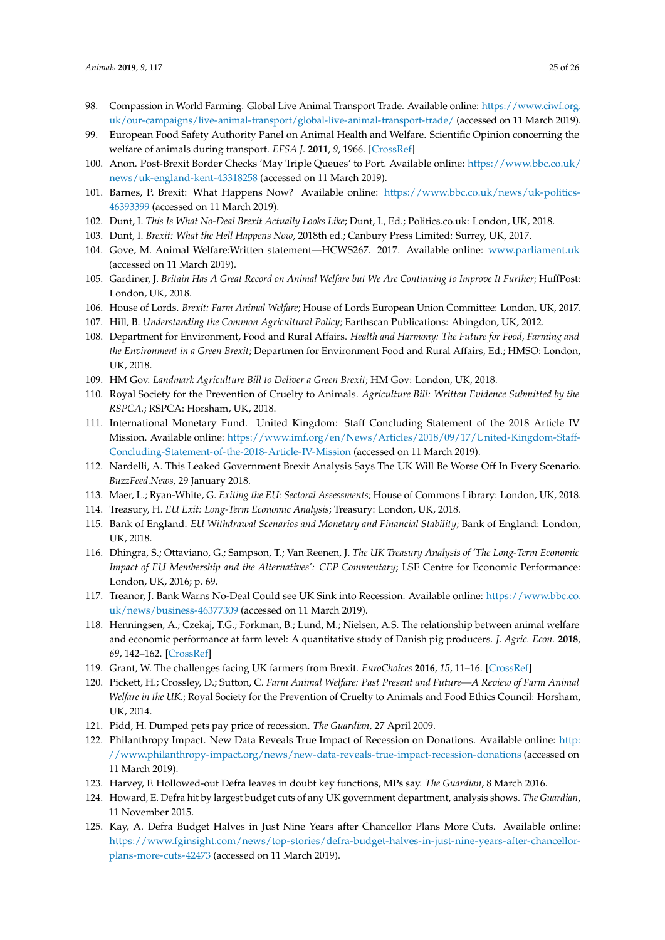- <span id="page-24-0"></span>98. Compassion in World Farming. Global Live Animal Transport Trade. Available online: [https://www.ciwf.org.](https://www.ciwf.org.uk/our-campaigns/live-animal-transport/global-live-animal-transport-trade/) [uk/our-campaigns/live-animal-transport/global-live-animal-transport-trade/](https://www.ciwf.org.uk/our-campaigns/live-animal-transport/global-live-animal-transport-trade/) (accessed on 11 March 2019).
- <span id="page-24-1"></span>99. European Food Safety Authority Panel on Animal Health and Welfare. Scientific Opinion concerning the welfare of animals during transport. *EFSA J.* **2011**, *9*, 1966. [\[CrossRef\]](http://dx.doi.org/10.2903/j.efsa.2011.1966)
- <span id="page-24-2"></span>100. Anon. Post-Brexit Border Checks 'May Triple Queues' to Port. Available online: [https://www.bbc.co.uk/](https://www.bbc.co.uk/news/uk-england-kent-43318258) [news/uk-england-kent-43318258](https://www.bbc.co.uk/news/uk-england-kent-43318258) (accessed on 11 March 2019).
- <span id="page-24-3"></span>101. Barnes, P. Brexit: What Happens Now? Available online: [https://www.bbc.co.uk/news/uk-politics-](https://www.bbc.co.uk/news/uk-politics-46393399)[46393399](https://www.bbc.co.uk/news/uk-politics-46393399) (accessed on 11 March 2019).
- <span id="page-24-4"></span>102. Dunt, I. *This Is What No-Deal Brexit Actually Looks Like*; Dunt, I., Ed.; Politics.co.uk: London, UK, 2018.
- <span id="page-24-5"></span>103. Dunt, I. *Brexit: What the Hell Happens Now*, 2018th ed.; Canbury Press Limited: Surrey, UK, 2017.
- <span id="page-24-6"></span>104. Gove, M. Animal Welfare:Written statement—HCWS267. 2017. Available online: <www.parliament.uk> (accessed on 11 March 2019).
- <span id="page-24-7"></span>105. Gardiner, J. *Britain Has A Great Record on Animal Welfare but We Are Continuing to Improve It Further*; HuffPost: London, UK, 2018.
- <span id="page-24-8"></span>106. House of Lords. *Brexit: Farm Animal Welfare*; House of Lords European Union Committee: London, UK, 2017.
- <span id="page-24-9"></span>107. Hill, B. *Understanding the Common Agricultural Policy*; Earthscan Publications: Abingdon, UK, 2012.
- <span id="page-24-10"></span>108. Department for Environment, Food and Rural Affairs. *Health and Harmony: The Future for Food, Farming and the Environment in a Green Brexit*; Departmen for Environment Food and Rural Affairs, Ed.; HMSO: London, UK, 2018.
- <span id="page-24-12"></span><span id="page-24-11"></span>109. HM Gov. *Landmark Agriculture Bill to Deliver a Green Brexit*; HM Gov: London, UK, 2018.
- 110. Royal Society for the Prevention of Cruelty to Animals. *Agriculture Bill: Written Evidence Submitted by the RSPCA.*; RSPCA: Horsham, UK, 2018.
- <span id="page-24-13"></span>111. International Monetary Fund. United Kingdom: Staff Concluding Statement of the 2018 Article IV Mission. Available online: [https://www.imf.org/en/News/Articles/2018/09/17/United-Kingdom-Staff-](https://www.imf.org/en/News/Articles/2018/09/17/United-Kingdom-Staff-Concluding-Statement-of-the-2018-Article-IV-Mission)[Concluding-Statement-of-the-2018-Article-IV-Mission](https://www.imf.org/en/News/Articles/2018/09/17/United-Kingdom-Staff-Concluding-Statement-of-the-2018-Article-IV-Mission) (accessed on 11 March 2019).
- <span id="page-24-14"></span>112. Nardelli, A. This Leaked Government Brexit Analysis Says The UK Will Be Worse Off In Every Scenario. *BuzzFeed.News*, 29 January 2018.
- <span id="page-24-15"></span>113. Maer, L.; Ryan-White, G. *Exiting the EU: Sectoral Assessments*; House of Commons Library: London, UK, 2018.
- <span id="page-24-17"></span><span id="page-24-16"></span>114. Treasury, H. *EU Exit: Long-Term Economic Analysis*; Treasury: London, UK, 2018.
- 115. Bank of England. *EU Withdrawal Scenarios and Monetary and Financial Stability*; Bank of England: London, UK, 2018.
- <span id="page-24-18"></span>116. Dhingra, S.; Ottaviano, G.; Sampson, T.; Van Reenen, J. *The UK Treasury Analysis of 'The Long-Term Economic Impact of EU Membership and the Alternatives': CEP Commentary*; LSE Centre for Economic Performance: London, UK, 2016; p. 69.
- <span id="page-24-19"></span>117. Treanor, J. Bank Warns No-Deal Could see UK Sink into Recession. Available online: [https://www.bbc.co.](https://www.bbc.co.uk/news/business-46377309) [uk/news/business-46377309](https://www.bbc.co.uk/news/business-46377309) (accessed on 11 March 2019).
- <span id="page-24-20"></span>118. Henningsen, A.; Czekaj, T.G.; Forkman, B.; Lund, M.; Nielsen, A.S. The relationship between animal welfare and economic performance at farm level: A quantitative study of Danish pig producers. *J. Agric. Econ.* **2018**, *69*, 142–162. [\[CrossRef\]](http://dx.doi.org/10.1111/1477-9552.12228)
- <span id="page-24-21"></span>119. Grant, W. The challenges facing UK farmers from Brexit. *EuroChoices* **2016**, *15*, 11–16. [\[CrossRef\]](http://dx.doi.org/10.1111/1746-692X.12127)
- <span id="page-24-22"></span>120. Pickett, H.; Crossley, D.; Sutton, C. *Farm Animal Welfare: Past Present and Future—A Review of Farm Animal Welfare in the UK.*; Royal Society for the Prevention of Cruelty to Animals and Food Ethics Council: Horsham, UK, 2014.
- <span id="page-24-23"></span>121. Pidd, H. Dumped pets pay price of recession. *The Guardian*, 27 April 2009.
- <span id="page-24-24"></span>122. Philanthropy Impact. New Data Reveals True Impact of Recession on Donations. Available online: [http:](http://www.philanthropy-impact.org/news/new-data-reveals-true-impact-recession-donations) [//www.philanthropy-impact.org/news/new-data-reveals-true-impact-recession-donations](http://www.philanthropy-impact.org/news/new-data-reveals-true-impact-recession-donations) (accessed on 11 March 2019).
- <span id="page-24-25"></span>123. Harvey, F. Hollowed-out Defra leaves in doubt key functions, MPs say. *The Guardian*, 8 March 2016.
- <span id="page-24-26"></span>124. Howard, E. Defra hit by largest budget cuts of any UK government department, analysis shows. *The Guardian*, 11 November 2015.
- <span id="page-24-27"></span>125. Kay, A. Defra Budget Halves in Just Nine Years after Chancellor Plans More Cuts. Available online: [https://www.fginsight.com/news/top-stories/defra-budget-halves-in-just-nine-years-after-chancellor](https://www.fginsight.com/news/top-stories/defra-budget-halves-in-just-nine-years-after-chancellor-plans-more-cuts-42473)[plans-more-cuts-42473](https://www.fginsight.com/news/top-stories/defra-budget-halves-in-just-nine-years-after-chancellor-plans-more-cuts-42473) (accessed on 11 March 2019).